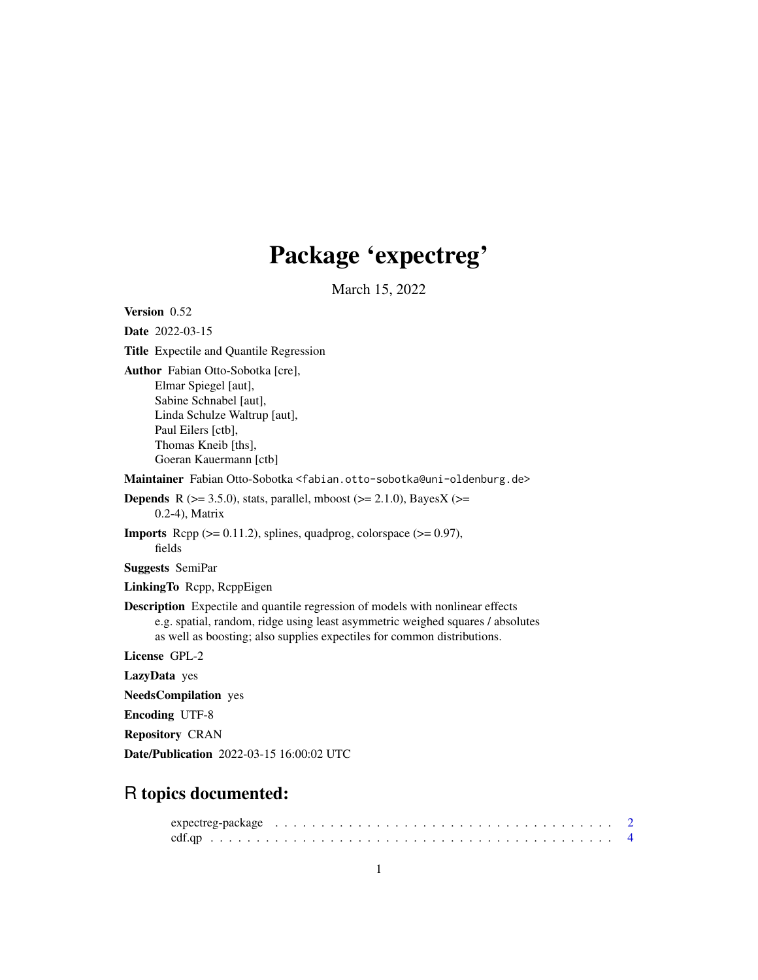# Package 'expectreg'

March 15, 2022

<span id="page-0-0"></span>Version 0.52 Date 2022-03-15 Title Expectile and Quantile Regression Author Fabian Otto-Sobotka [cre], Elmar Spiegel [aut], Sabine Schnabel [aut], Linda Schulze Waltrup [aut], Paul Eilers [ctb], Thomas Kneib [ths], Goeran Kauermann [ctb] Maintainer Fabian Otto-Sobotka <fabian.otto-sobotka@uni-oldenburg.de> **Depends** R ( $>= 3.5.0$ ), stats, parallel, mboost ( $>= 2.1.0$ ), BayesX ( $>=$ 0.2-4), Matrix **Imports** Rcpp  $(>= 0.11.2)$ , splines, quadprog, colorspace  $(>= 0.97)$ , fields Suggests SemiPar LinkingTo Rcpp, RcppEigen Description Expectile and quantile regression of models with nonlinear effects e.g. spatial, random, ridge using least asymmetric weighed squares / absolutes as well as boosting; also supplies expectiles for common distributions. License GPL-2 LazyData yes NeedsCompilation yes Encoding UTF-8 Repository CRAN Date/Publication 2022-03-15 16:00:02 UTC

## R topics documented: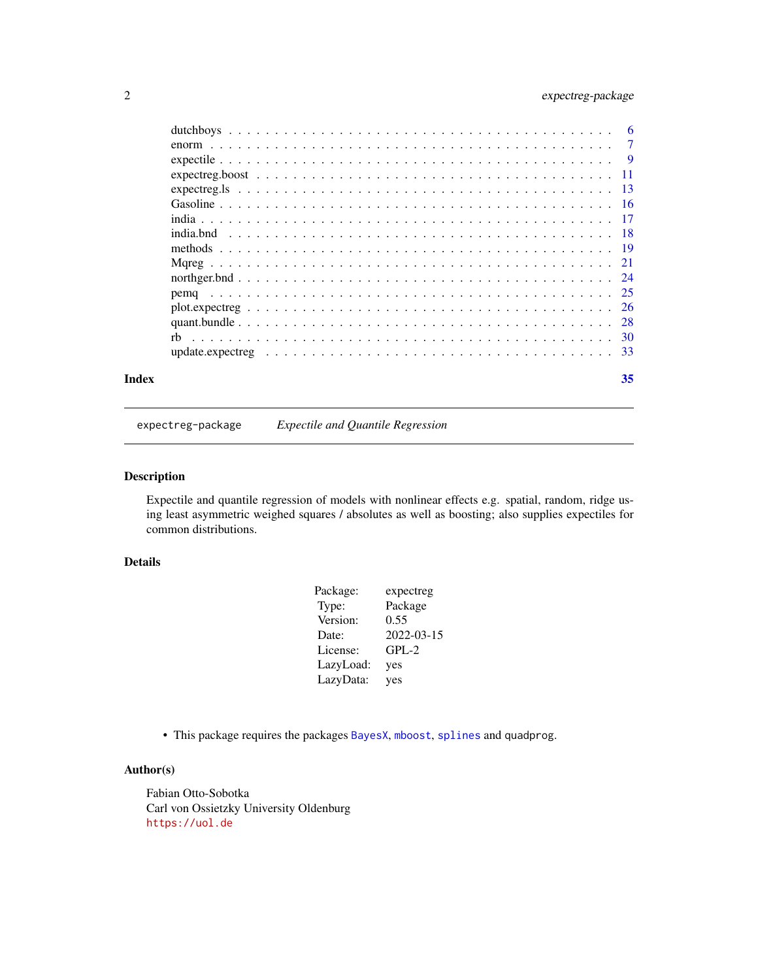#### <span id="page-1-0"></span>2 expectreg-package

| Index | 35 |
|-------|----|
|       |    |
|       |    |
|       |    |
|       |    |
|       |    |
|       |    |
|       |    |
|       |    |
|       |    |
|       |    |
|       |    |
|       |    |
|       |    |
|       |    |
|       |    |
|       |    |

expectreg-package *Expectile and Quantile Regression*

#### Description

Expectile and quantile regression of models with nonlinear effects e.g. spatial, random, ridge using least asymmetric weighed squares / absolutes as well as boosting; also supplies expectiles for common distributions.

#### Details

| Package:  | expectreg  |
|-----------|------------|
| Type:     | Package    |
| Version:  | 0.55       |
| Date:     | 2022-03-15 |
| License:  | $GPL-2$    |
| LazyLoad: | yes        |
| LazyData: | yes        |

• This package requires the packages [BayesX](#page-0-0), [mboost](#page-0-0), [splines](#page-0-0) and quadprog.

#### Author(s)

Fabian Otto-Sobotka Carl von Ossietzky University Oldenburg <https://uol.de>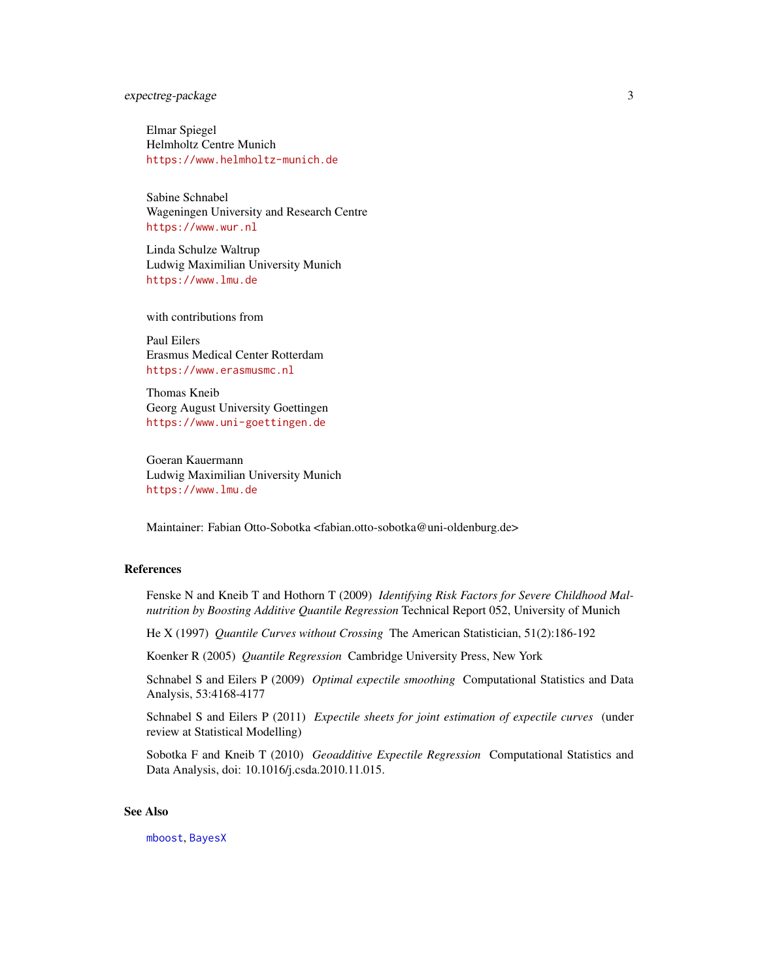#### <span id="page-2-0"></span>expectreg-package 3

Elmar Spiegel Helmholtz Centre Munich <https://www.helmholtz-munich.de>

Sabine Schnabel Wageningen University and Research Centre <https://www.wur.nl>

Linda Schulze Waltrup Ludwig Maximilian University Munich <https://www.lmu.de>

with contributions from

Paul Eilers Erasmus Medical Center Rotterdam <https://www.erasmusmc.nl>

Thomas Kneib Georg August University Goettingen <https://www.uni-goettingen.de>

Goeran Kauermann Ludwig Maximilian University Munich <https://www.lmu.de>

Maintainer: Fabian Otto-Sobotka <fabian.otto-sobotka@uni-oldenburg.de>

#### References

Fenske N and Kneib T and Hothorn T (2009) *Identifying Risk Factors for Severe Childhood Malnutrition by Boosting Additive Quantile Regression* Technical Report 052, University of Munich

He X (1997) *Quantile Curves without Crossing* The American Statistician, 51(2):186-192

Koenker R (2005) *Quantile Regression* Cambridge University Press, New York

Schnabel S and Eilers P (2009) *Optimal expectile smoothing* Computational Statistics and Data Analysis, 53:4168-4177

Schnabel S and Eilers P (2011) *Expectile sheets for joint estimation of expectile curves* (under review at Statistical Modelling)

Sobotka F and Kneib T (2010) *Geoadditive Expectile Regression* Computational Statistics and Data Analysis, doi: 10.1016/j.csda.2010.11.015.

#### See Also

[mboost](#page-0-0), [BayesX](#page-0-0)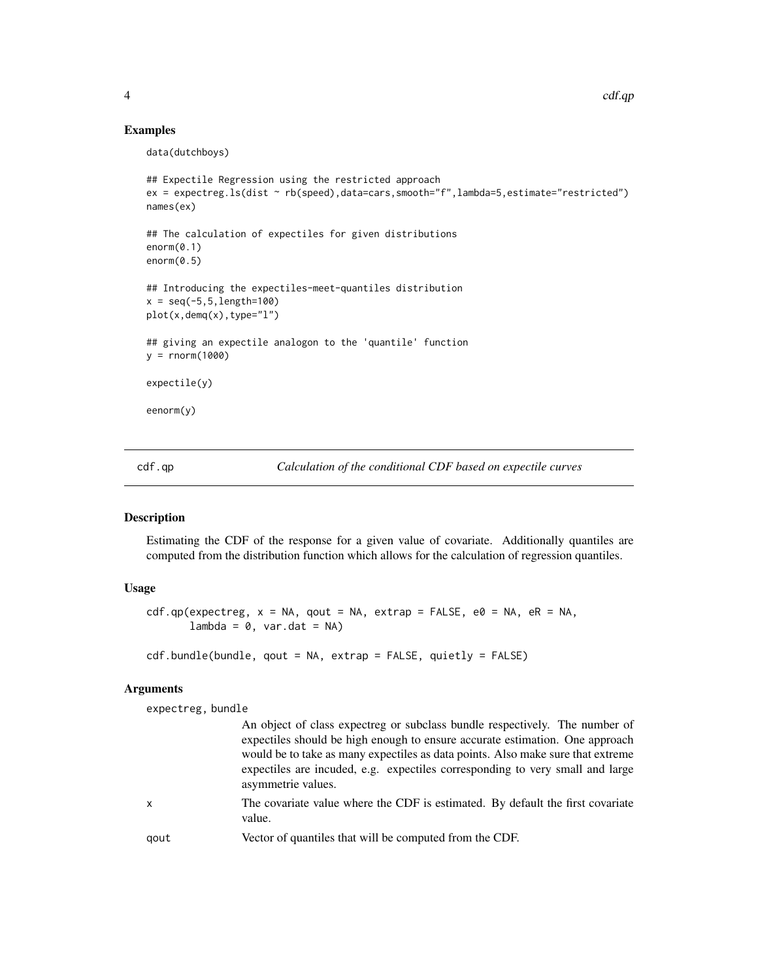#### Examples

```
data(dutchboys)
```

```
## Expectile Regression using the restricted approach
ex = expectreg.ls(dist ~ rb(speed),data=cars,smooth="f",lambda=5,estimate="restricted")
names(ex)
## The calculation of expectiles for given distributions
enorm(0.1)
enorm(0.5)
## Introducing the expectiles-meet-quantiles distribution
x = seq(-5, 5, length=100)plot(x,demq(x),type="l")
## giving an expectile analogon to the 'quantile' function
y = rnorm(1000)expectile(y)
eenorm(y)
```
<span id="page-3-1"></span>cdf.qp *Calculation of the conditional CDF based on expectile curves*

#### <span id="page-3-2"></span>Description

Estimating the CDF of the response for a given value of covariate. Additionally quantiles are computed from the distribution function which allows for the calculation of regression quantiles.

#### Usage

```
cdf.qp(expectreg, x = NA, qout = NA, extrap = FALSE, e0 = NA, eR = NA,lambda = 0, var.dat = NA)
```

```
cdf.bundle(bundle, qout = NA, extrap = FALSE, quietly = FALSE)
```
#### Arguments

expectreg, bundle

|      | An object of class expectreg or subclass bundle respectively. The number of<br>expectiles should be high enough to ensure accurate estimation. One approach<br>would be to take as many expectiles as data points. Also make sure that extreme<br>expectiles are incuded, e.g. expectiles corresponding to very small and large<br>asymmetrie values. |
|------|-------------------------------------------------------------------------------------------------------------------------------------------------------------------------------------------------------------------------------------------------------------------------------------------------------------------------------------------------------|
| X    | The covariate value where the CDF is estimated. By default the first covariate<br>value.                                                                                                                                                                                                                                                              |
| gout | Vector of quantiles that will be computed from the CDF.                                                                                                                                                                                                                                                                                               |

<span id="page-3-0"></span>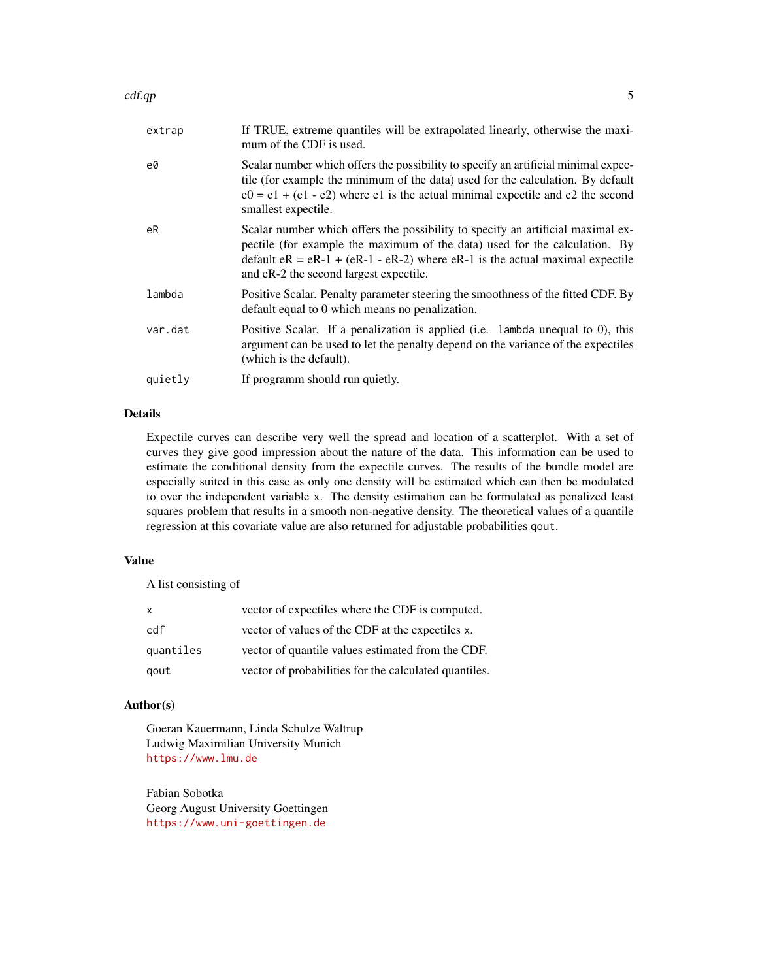#### $cdf(qp \sim 5$

| extrap  | If TRUE, extreme quantiles will be extrapolated linearly, otherwise the maxi-<br>mum of the CDF is used.                                                                                                                                                                                    |
|---------|---------------------------------------------------------------------------------------------------------------------------------------------------------------------------------------------------------------------------------------------------------------------------------------------|
| e0      | Scalar number which offers the possibility to specify an artificial minimal expec-<br>tile (for example the minimum of the data) used for the calculation. By default<br>$e0 = e1 + (e1 - e2)$ where e1 is the actual minimal expectile and e2 the second<br>smallest expectile.            |
| eR      | Scalar number which offers the possibility to specify an artificial maximal ex-<br>pectile (for example the maximum of the data) used for the calculation. By<br>default $eR = eR-1 + (eR-1 - eR-2)$ where $eR-1$ is the actual maximal expectile<br>and eR-2 the second largest expectile. |
| lambda  | Positive Scalar. Penalty parameter steering the smoothness of the fitted CDF. By<br>default equal to 0 which means no penalization.                                                                                                                                                         |
| var.dat | Positive Scalar. If a penalization is applied (i.e. lambda unequal to 0), this<br>argument can be used to let the penalty depend on the variance of the expectiles<br>(which is the default).                                                                                               |
| quietly | If programm should run quietly.                                                                                                                                                                                                                                                             |
|         |                                                                                                                                                                                                                                                                                             |

#### Details

Expectile curves can describe very well the spread and location of a scatterplot. With a set of curves they give good impression about the nature of the data. This information can be used to estimate the conditional density from the expectile curves. The results of the bundle model are especially suited in this case as only one density will be estimated which can then be modulated to over the independent variable x. The density estimation can be formulated as penalized least squares problem that results in a smooth non-negative density. The theoretical values of a quantile regression at this covariate value are also returned for adjustable probabilities qout.

#### Value

A list consisting of

| $\mathsf{x}$ | vector of expectiles where the CDF is computed.       |
|--------------|-------------------------------------------------------|
| cdf          | vector of values of the CDF at the expectiles x.      |
| quantiles    | vector of quantile values estimated from the CDF.     |
| gout         | vector of probabilities for the calculated quantiles. |

#### Author(s)

Goeran Kauermann, Linda Schulze Waltrup Ludwig Maximilian University Munich <https://www.lmu.de>

Fabian Sobotka Georg August University Goettingen <https://www.uni-goettingen.de>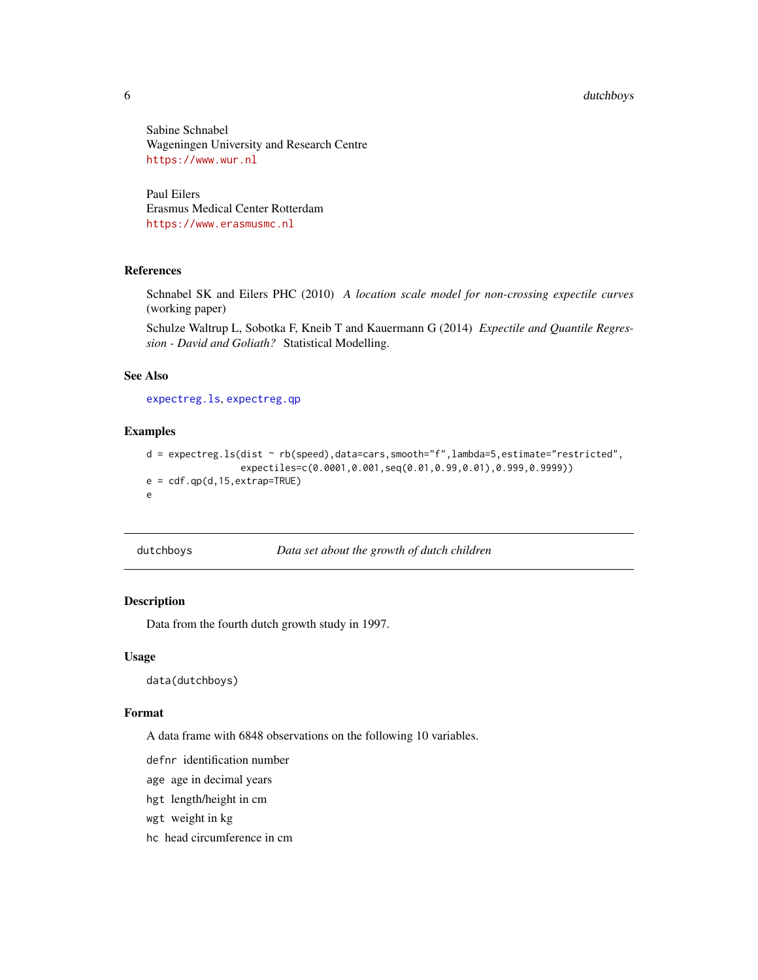#### <span id="page-5-0"></span>6 dutchboys

Sabine Schnabel Wageningen University and Research Centre <https://www.wur.nl>

Paul Eilers Erasmus Medical Center Rotterdam <https://www.erasmusmc.nl>

#### References

Schnabel SK and Eilers PHC (2010) *A location scale model for non-crossing expectile curves* (working paper)

Schulze Waltrup L, Sobotka F, Kneib T and Kauermann G (2014) *Expectile and Quantile Regression - David and Goliath?* Statistical Modelling.

#### See Also

[expectreg.ls](#page-12-1), [expectreg.qp](#page-12-2)

#### Examples

```
d = expectreg.ls(dist ~ rb(speed),data=cars,smooth="f",lambda=5,estimate="restricted",
                 expectiles=c(0.0001,0.001,seq(0.01,0.99,0.01),0.999,0.9999))
e = cdf.qp(d,15,extrap=True)e
```
dutchboys *Data set about the growth of dutch children*

#### Description

Data from the fourth dutch growth study in 1997.

#### Usage

data(dutchboys)

#### Format

A data frame with 6848 observations on the following 10 variables.

defnr identification number

age age in decimal years

hgt length/height in cm

wgt weight in kg

hc head circumference in cm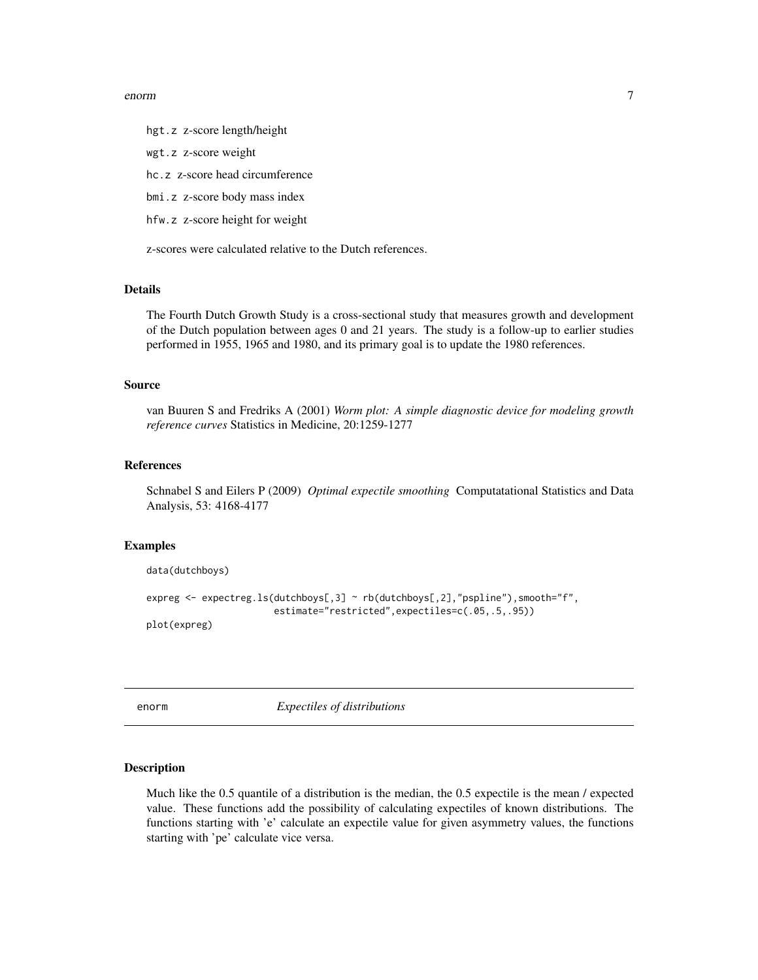#### <span id="page-6-0"></span>enorm and the contract of the contract of the contract of the contract of the contract of the contract of the contract of the contract of the contract of the contract of the contract of the contract of the contract of the

hgt.z z-score length/height

wgt.z z-score weight

hc.z z-score head circumference

bmi.z z-score body mass index

hfw.z z-score height for weight

z-scores were calculated relative to the Dutch references.

#### Details

The Fourth Dutch Growth Study is a cross-sectional study that measures growth and development of the Dutch population between ages 0 and 21 years. The study is a follow-up to earlier studies performed in 1955, 1965 and 1980, and its primary goal is to update the 1980 references.

#### Source

van Buuren S and Fredriks A (2001) *Worm plot: A simple diagnostic device for modeling growth reference curves* Statistics in Medicine, 20:1259-1277

#### References

Schnabel S and Eilers P (2009) *Optimal expectile smoothing* Computatational Statistics and Data Analysis, 53: 4168-4177

#### Examples

```
data(dutchboys)
expreg <- expectreg.ls(dutchboys[,3] ~ rb(dutchboys[,2],"pspline"),smooth="f",
                       estimate="restricted",expectiles=c(.05,.5,.95))
plot(expreg)
```
<span id="page-6-1"></span>

enorm *Expectiles of distributions*

#### Description

Much like the 0.5 quantile of a distribution is the median, the 0.5 expectile is the mean / expected value. These functions add the possibility of calculating expectiles of known distributions. The functions starting with 'e' calculate an expectile value for given asymmetry values, the functions starting with 'pe' calculate vice versa.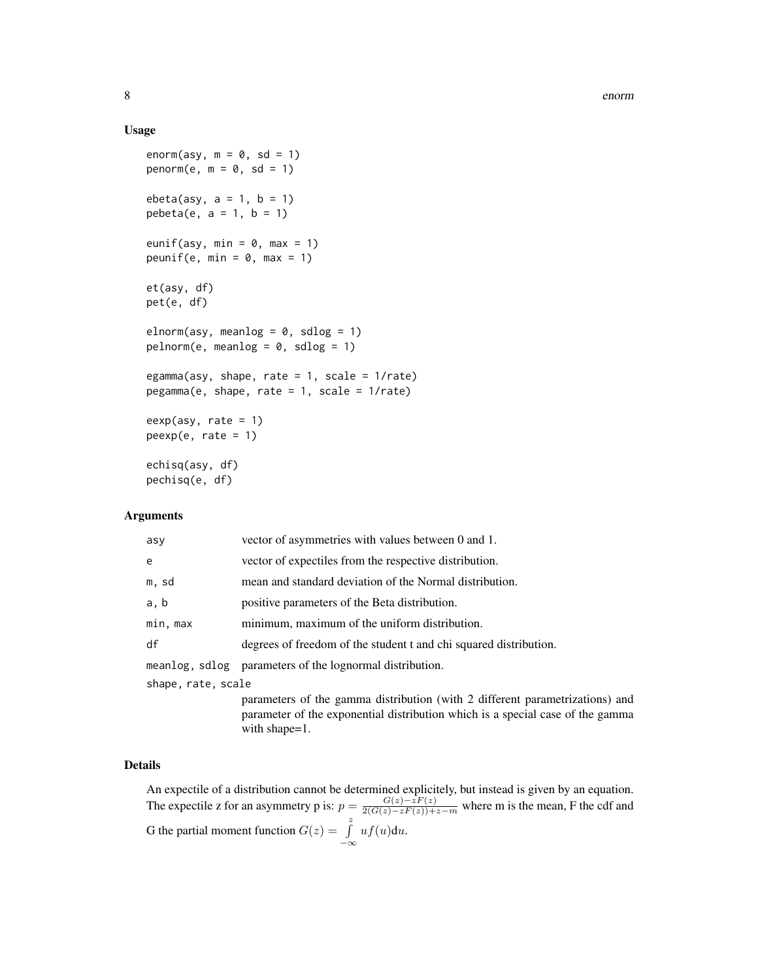#### Usage

```
enorm(asy, m = 0, sd = 1)
penorm(e, m = 0, sd = 1)
ebeta(asy, a = 1, b = 1)
pebeta(e, a = 1, b = 1)
eunif(asy, min = 0, max = 1)
peunif(e, min = 0, max = 1)
et(asy, df)
pet(e, df)
elnorm(asy, meanlog = 0, sdlog = 1)
pelnorm(e, meaning = 0, sdlog = 1)egamma(asy, shape, rate = 1, scale = 1/rate)
pegamma(e, shape, rate = 1, scale = 1/rate)
eexp(asy, rate = 1)peexp(e, rate = 1)
echisq(asy, df)
pechisq(e, df)
```
#### Arguments

| asy                | vector of asymmetries with values between 0 and 1.                |  |  |  |
|--------------------|-------------------------------------------------------------------|--|--|--|
| e                  | vector of expectiles from the respective distribution.            |  |  |  |
| m, sd              | mean and standard deviation of the Normal distribution.           |  |  |  |
| a, b               | positive parameters of the Beta distribution.                     |  |  |  |
| min, max           | minimum, maximum of the uniform distribution.                     |  |  |  |
| df                 | degrees of freedom of the student t and chi squared distribution. |  |  |  |
|                    | meanlog, sdlog parameters of the lognormal distribution.          |  |  |  |
| shape, rate, scale |                                                                   |  |  |  |
|                    | parameters of the gamma distribution (with 2 different parametriz |  |  |  |

parameters of the gamma distribution (with 2 different parametrizations) and parameter of the exponential distribution which is a special case of the gamma with shape=1.

#### Details

An expectile of a distribution cannot be determined explicitely, but instead is given by an equation. The expectile z for an asymmetry p is:  $p = \frac{G(z) - zF(z)}{2(G(z) - zF(z)) + z - m}$  where m is the mean, F the cdf and G the partial moment function  $G(z) = \int_0^z$  $-\infty$  $uf(u)du.$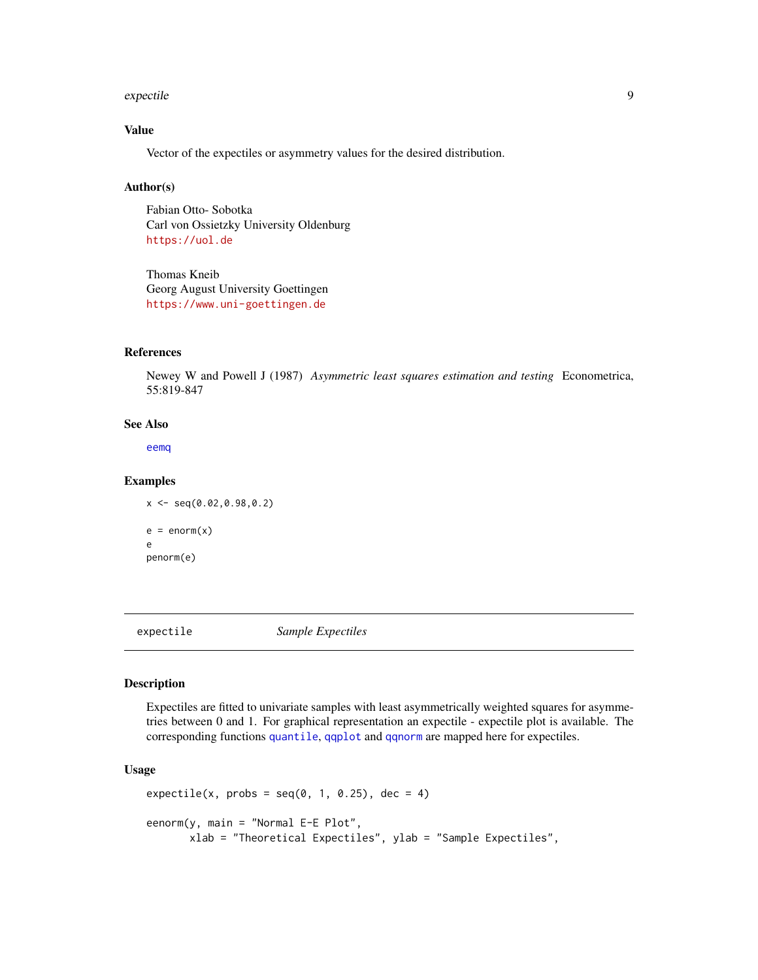#### <span id="page-8-0"></span>expectile 9

#### Value

Vector of the expectiles or asymmetry values for the desired distribution.

#### Author(s)

Fabian Otto- Sobotka Carl von Ossietzky University Oldenburg <https://uol.de>

Thomas Kneib Georg August University Goettingen <https://www.uni-goettingen.de>

#### References

Newey W and Powell J (1987) *Asymmetric least squares estimation and testing* Econometrica, 55:819-847

#### See Also

[eemq](#page-24-1)

#### Examples

 $x \leq -\text{seq}(0.02, 0.98, 0.2)$  $e = enorm(x)$ e penorm(e)

expectile *Sample Expectiles*

#### Description

Expectiles are fitted to univariate samples with least asymmetrically weighted squares for asymmetries between 0 and 1. For graphical representation an expectile - expectile plot is available. The corresponding functions [quantile](#page-0-0), [qqplot](#page-0-0) and [qqnorm](#page-0-0) are mapped here for expectiles.

#### Usage

```
expectile(x, probs = seq(0, 1, 0.25), dec = 4)
eenorm(y, main = "Normal E-E Plot",
      xlab = "Theoretical Expectiles", ylab = "Sample Expectiles",
```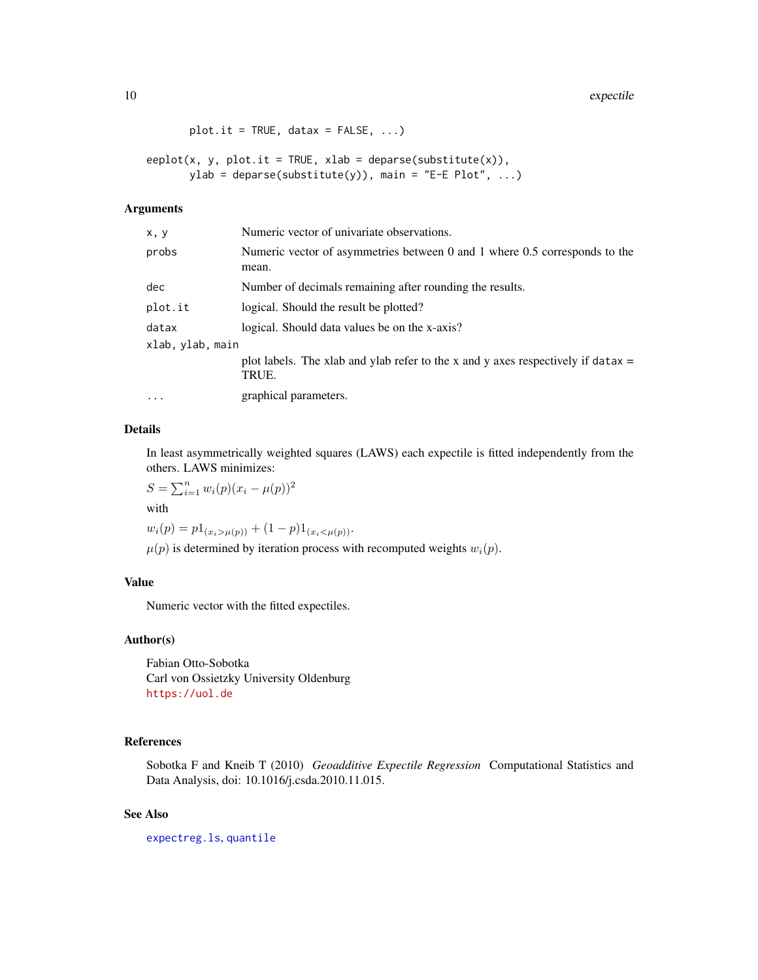```
plot.it = TRUE, data = FALSE, ...)
```

```
eeplot(x, y, plot.it = TRUE, xlab = deparse(substitute(x)),
      ylab = deparse(substitute(y)), main = "E-E Plot", ...)
```
#### Arguments

| x, y             | Numeric vector of univariate observations.                                                   |
|------------------|----------------------------------------------------------------------------------------------|
| probs            | Numeric vector of asymmetries between 0 and 1 where 0.5 corresponds to the<br>mean.          |
| dec              | Number of decimals remaining after rounding the results.                                     |
| plot.it          | logical. Should the result be plotted?                                                       |
| datax            | logical. Should data values be on the x-axis?                                                |
| xlab, ylab, main |                                                                                              |
|                  | plot labels. The xlab and ylab refer to the x and y axes respectively if data $x =$<br>TRUE. |
| $\ddots$ .       | graphical parameters.                                                                        |

### Details

In least asymmetrically weighted squares (LAWS) each expectile is fitted independently from the others. LAWS minimizes:

 $S = \sum_{i=1}^{n} w_i(p)(x_i - \mu(p))^2$ 

with

 $w_i(p) = p1_{(x_i > \mu(p))} + (1-p)1_{(x_i < \mu(p))}.$ 

 $\mu(p)$  is determined by iteration process with recomputed weights  $w_i(p)$ .

#### Value

Numeric vector with the fitted expectiles.

#### Author(s)

Fabian Otto-Sobotka Carl von Ossietzky University Oldenburg <https://uol.de>

#### References

Sobotka F and Kneib T (2010) *Geoadditive Expectile Regression* Computational Statistics and Data Analysis, doi: 10.1016/j.csda.2010.11.015.

#### See Also

[expectreg.ls](#page-12-1), [quantile](#page-0-0)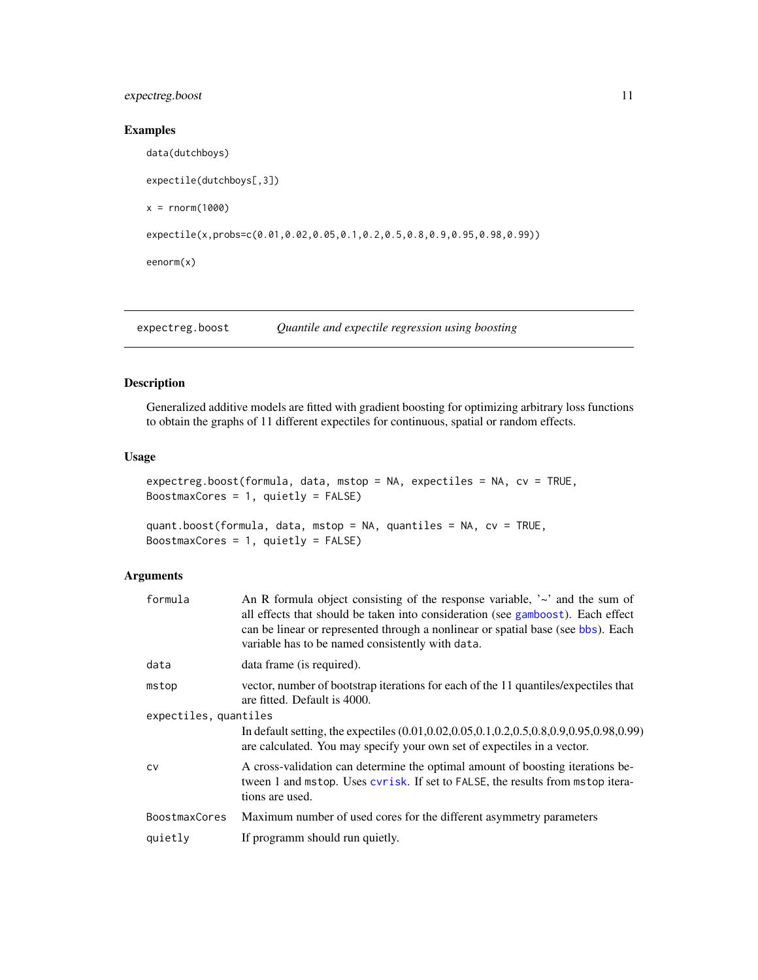#### <span id="page-10-0"></span>expectreg.boost 11

#### Examples

```
data(dutchboys)
expectile(dutchboys[,3])
x = rnorm(1000)expectile(x,probs=c(0.01,0.02,0.05,0.1,0.2,0.5,0.8,0.9,0.95,0.98,0.99))
eenorm(x)
```
<span id="page-10-1"></span>expectreg.boost *Quantile and expectile regression using boosting*

#### Description

Generalized additive models are fitted with gradient boosting for optimizing arbitrary loss functions to obtain the graphs of 11 different expectiles for continuous, spatial or random effects.

#### Usage

```
expectreg.boost(formula, data, mstop = NA, expectiles = NA, cv = TRUE,
BoostmaxCores = 1, quietly = FALSE)
```

```
quant.boost(formula, data, mstop = NA, quantiles = NA, cv = TRUE,
BoostmaxCores = 1, quietly = FALSE)
```
#### Arguments

| formula       | An R formula object consisting of the response variable, $\sim$ and the sum of<br>all effects that should be taken into consideration (see gamboost). Each effect<br>can be linear or represented through a nonlinear or spatial base (see bbs). Each<br>variable has to be named consistently with data. |  |  |  |  |  |
|---------------|-----------------------------------------------------------------------------------------------------------------------------------------------------------------------------------------------------------------------------------------------------------------------------------------------------------|--|--|--|--|--|
| data          | data frame (is required).                                                                                                                                                                                                                                                                                 |  |  |  |  |  |
| mstop         | vector, number of bootstrap iterations for each of the 11 quantiles/expectiles that<br>are fitted. Default is 4000.                                                                                                                                                                                       |  |  |  |  |  |
|               | expectiles, quantiles                                                                                                                                                                                                                                                                                     |  |  |  |  |  |
|               | In default setting, the expectiles (0.01, 0.02, 0.05, 0.1, 0.2, 0.5, 0.8, 0.9, 0.95, 0.98, 0.99)<br>are calculated. You may specify your own set of expectiles in a vector.                                                                                                                               |  |  |  |  |  |
| <b>CV</b>     | A cross-validation can determine the optimal amount of boosting iterations be-<br>tween 1 and mstop. Uses cyrisk. If set to FALSE, the results from mstop itera-<br>tions are used.                                                                                                                       |  |  |  |  |  |
| BoostmaxCores | Maximum number of used cores for the different asymmetry parameters                                                                                                                                                                                                                                       |  |  |  |  |  |
| quietly       | If programm should run quietly.                                                                                                                                                                                                                                                                           |  |  |  |  |  |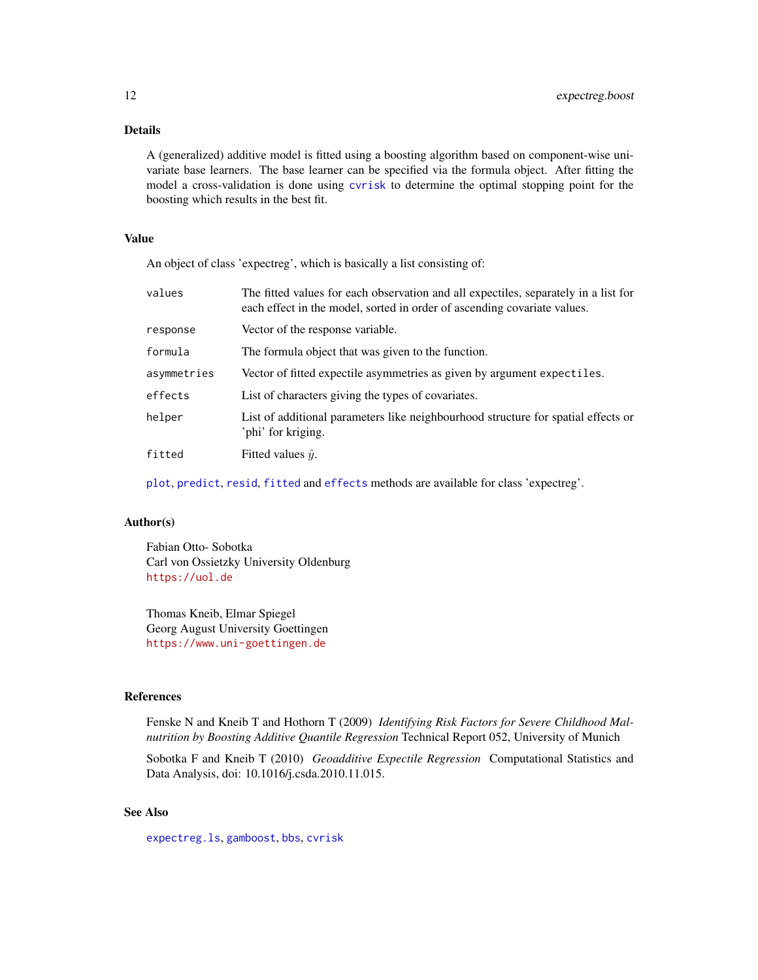#### <span id="page-11-0"></span>Details

A (generalized) additive model is fitted using a boosting algorithm based on component-wise univariate base learners. The base learner can be specified via the formula object. After fitting the model a cross-validation is done using [cvrisk](#page-0-0) to determine the optimal stopping point for the boosting which results in the best fit.

#### Value

An object of class 'expectreg', which is basically a list consisting of:

| values      | The fitted values for each observation and all expectiles, separately in a list for<br>each effect in the model, sorted in order of ascending covariate values. |
|-------------|-----------------------------------------------------------------------------------------------------------------------------------------------------------------|
| response    | Vector of the response variable.                                                                                                                                |
| formula     | The formula object that was given to the function.                                                                                                              |
| asymmetries | Vector of fitted expectile asymmetries as given by argument expectiles.                                                                                         |
| effects     | List of characters giving the types of covariates.                                                                                                              |
| helper      | List of additional parameters like neighbourhood structure for spatial effects or<br>'phi' for kriging.                                                         |
| fitted      | Fitted values $\hat{y}$ .                                                                                                                                       |
|             |                                                                                                                                                                 |

[plot](#page-25-1), [predict](#page-18-1), [resid](#page-18-1), [fitted](#page-18-1) and [effects](#page-18-1) methods are available for class 'expectreg'.

#### Author(s)

Fabian Otto- Sobotka Carl von Ossietzky University Oldenburg <https://uol.de>

Thomas Kneib, Elmar Spiegel Georg August University Goettingen <https://www.uni-goettingen.de>

#### References

Fenske N and Kneib T and Hothorn T (2009) *Identifying Risk Factors for Severe Childhood Malnutrition by Boosting Additive Quantile Regression* Technical Report 052, University of Munich

Sobotka F and Kneib T (2010) *Geoadditive Expectile Regression* Computational Statistics and Data Analysis, doi: 10.1016/j.csda.2010.11.015.

#### See Also

[expectreg.ls](#page-12-1), [gamboost](#page-0-0), [bbs](#page-0-0), [cvrisk](#page-0-0)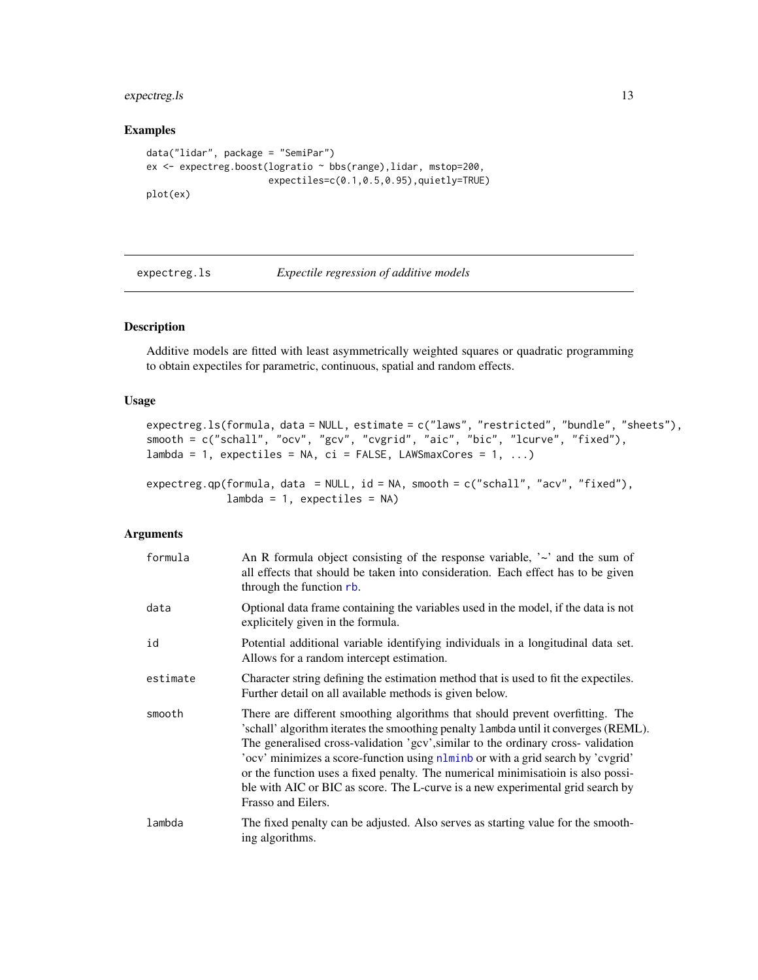#### <span id="page-12-0"></span>expectreg.ls 13

#### Examples

```
data("lidar", package = "SemiPar")
ex <- expectreg.boost(logratio ~ bbs(range),lidar, mstop=200,
                      expectiles=c(0.1,0.5,0.95),quietly=TRUE)
plot(ex)
```
<span id="page-12-1"></span>expectreg.ls *Expectile regression of additive models*

#### <span id="page-12-2"></span>Description

Additive models are fitted with least asymmetrically weighted squares or quadratic programming to obtain expectiles for parametric, continuous, spatial and random effects.

#### Usage

```
expectreg.ls(formula, data = NULL, estimate = c("laws", "restricted", "bundle", "sheets"),
smooth = c("schall", "ocv", "gcv", "cvgrid", "aic", "bic", "lcurve", "fixed"),
lambda = 1, expectiles = NA, ci = FALSE, LAWSmaxCores = 1, ...)
```

```
expectreg.qp(formula, data = NULL, id = NA, smooth = c("schall", "acv", "fixed"),
             lambda = 1, expectiles = NA)
```
#### Arguments

| formula  | An R formula object consisting of the response variable, $\sim$ and the sum of<br>all effects that should be taken into consideration. Each effect has to be given<br>through the function rb.                                                                                                                                                                                                                                                                                                                                          |
|----------|-----------------------------------------------------------------------------------------------------------------------------------------------------------------------------------------------------------------------------------------------------------------------------------------------------------------------------------------------------------------------------------------------------------------------------------------------------------------------------------------------------------------------------------------|
| data     | Optional data frame containing the variables used in the model, if the data is not<br>explicitely given in the formula.                                                                                                                                                                                                                                                                                                                                                                                                                 |
| id       | Potential additional variable identifying individuals in a longitudinal data set.<br>Allows for a random intercept estimation.                                                                                                                                                                                                                                                                                                                                                                                                          |
| estimate | Character string defining the estimation method that is used to fit the expectiles.<br>Further detail on all available methods is given below.                                                                                                                                                                                                                                                                                                                                                                                          |
| smooth   | There are different smoothing algorithms that should prevent overfitting. The<br>'schall' algorithm iterates the smoothing penalty 1 ambda until it converges (REML).<br>The generalised cross-validation 'gcv', similar to the ordinary cross-validation<br>'ocv' minimizes a score-function using nlminb or with a grid search by 'cvgrid'<br>or the function uses a fixed penalty. The numerical minimisation is also possi-<br>ble with AIC or BIC as score. The L-curve is a new experimental grid search by<br>Frasso and Eilers. |
| lambda   | The fixed penalty can be adjusted. Also serves as starting value for the smooth-<br>ing algorithms.                                                                                                                                                                                                                                                                                                                                                                                                                                     |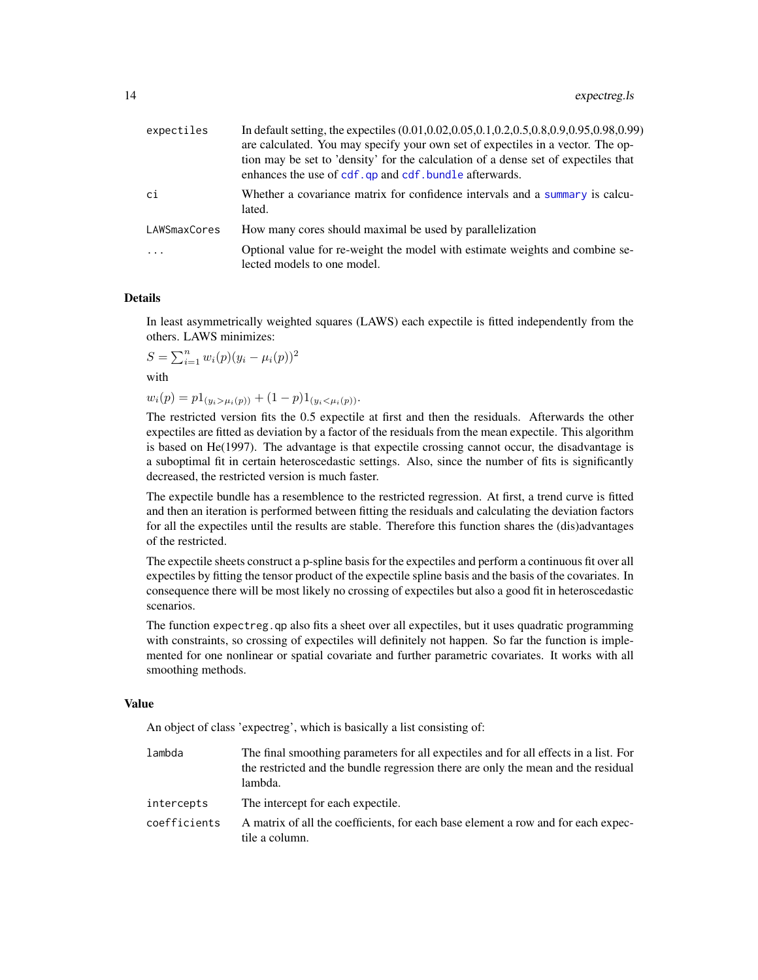<span id="page-13-0"></span>

| expectiles   | In default setting, the expectiles (0.01,0.02,0.05,0.1,0.2,0.5,0.8,0.9,0.95,0.98,0.99)<br>are calculated. You may specify your own set of expectiles in a vector. The op-<br>tion may be set to 'density' for the calculation of a dense set of expectiles that<br>enhances the use of cdf. qp and cdf. bundle afterwards. |
|--------------|----------------------------------------------------------------------------------------------------------------------------------------------------------------------------------------------------------------------------------------------------------------------------------------------------------------------------|
| ci           | Whether a covariance matrix for confidence intervals and a summary is calcu-<br>lated.                                                                                                                                                                                                                                     |
| LAWSmaxCores | How many cores should maximal be used by parallelization                                                                                                                                                                                                                                                                   |
| $\cdots$     | Optional value for re-weight the model with estimate weights and combine se-<br>lected models to one model.                                                                                                                                                                                                                |

#### **Details**

In least asymmetrically weighted squares (LAWS) each expectile is fitted independently from the others. LAWS minimizes:

 $S = \sum_{i=1}^{n} w_i(p)(y_i - \mu_i(p))^2$ 

with

 $w_i(p) = p1_{(y_i > \mu_i(p))} + (1-p)1_{(y_i < \mu_i(p))}.$ 

The restricted version fits the 0.5 expectile at first and then the residuals. Afterwards the other expectiles are fitted as deviation by a factor of the residuals from the mean expectile. This algorithm is based on He(1997). The advantage is that expectile crossing cannot occur, the disadvantage is a suboptimal fit in certain heteroscedastic settings. Also, since the number of fits is significantly decreased, the restricted version is much faster.

The expectile bundle has a resemblence to the restricted regression. At first, a trend curve is fitted and then an iteration is performed between fitting the residuals and calculating the deviation factors for all the expectiles until the results are stable. Therefore this function shares the (dis)advantages of the restricted.

The expectile sheets construct a p-spline basis for the expectiles and perform a continuous fit over all expectiles by fitting the tensor product of the expectile spline basis and the basis of the covariates. In consequence there will be most likely no crossing of expectiles but also a good fit in heteroscedastic scenarios.

The function expectreg.qp also fits a sheet over all expectiles, but it uses quadratic programming with constraints, so crossing of expectiles will definitely not happen. So far the function is implemented for one nonlinear or spatial covariate and further parametric covariates. It works with all smoothing methods.

#### Value

An object of class 'expectreg', which is basically a list consisting of:

| lambda       | The final smoothing parameters for all expectiles and for all effects in a list. For<br>the restricted and the bundle regression there are only the mean and the residual<br>lambda. |
|--------------|--------------------------------------------------------------------------------------------------------------------------------------------------------------------------------------|
| intercepts   | The intercept for each expectile.                                                                                                                                                    |
| coefficients | A matrix of all the coefficients, for each base element a row and for each expec-<br>tile a column.                                                                                  |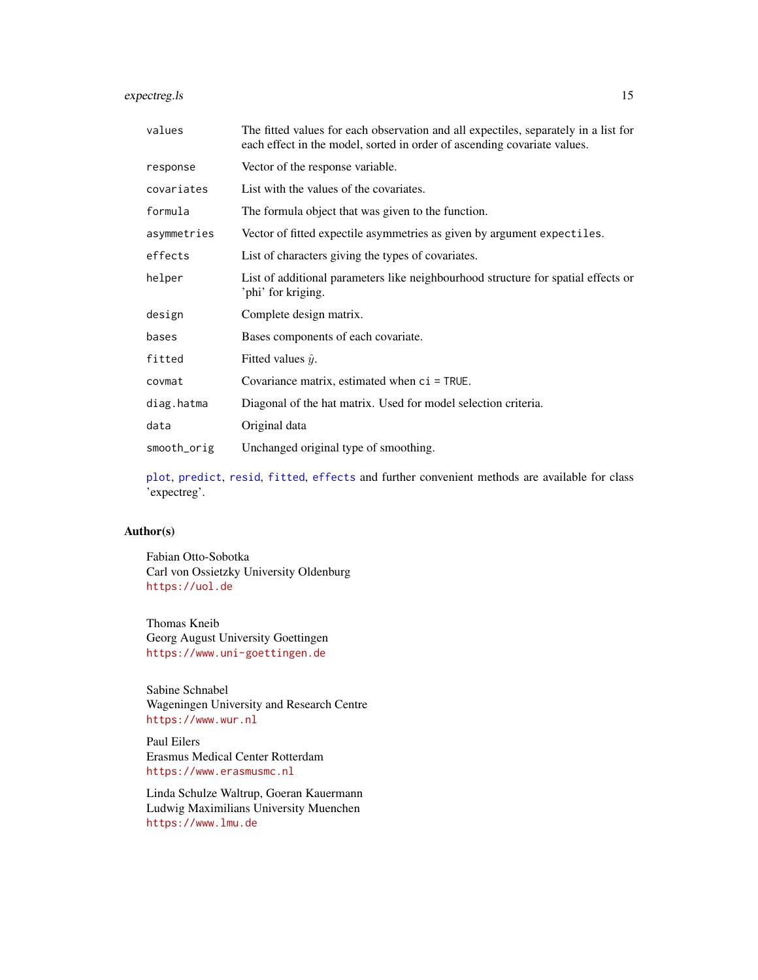#### <span id="page-14-0"></span>expectreg.ls 15

| values      | The fitted values for each observation and all expectiles, separately in a list for<br>each effect in the model, sorted in order of ascending covariate values. |
|-------------|-----------------------------------------------------------------------------------------------------------------------------------------------------------------|
| response    | Vector of the response variable.                                                                                                                                |
| covariates  | List with the values of the covariates.                                                                                                                         |
| formula     | The formula object that was given to the function.                                                                                                              |
| asymmetries | Vector of fitted expectile asymmetries as given by argument expectiles.                                                                                         |
| effects     | List of characters giving the types of covariates.                                                                                                              |
| helper      | List of additional parameters like neighbourhood structure for spatial effects or<br>'phi' for kriging.                                                         |
| design      | Complete design matrix.                                                                                                                                         |
| bases       | Bases components of each covariate.                                                                                                                             |
| fitted      | Fitted values $\hat{y}$ .                                                                                                                                       |
| covmat      | Covariance matrix, estimated when ci = TRUE.                                                                                                                    |
| diag.hatma  | Diagonal of the hat matrix. Used for model selection criteria.                                                                                                  |
| data        | Original data                                                                                                                                                   |
| smooth_orig | Unchanged original type of smoothing.                                                                                                                           |

[plot](#page-25-1), [predict](#page-18-1), [resid](#page-18-1), [fitted](#page-18-1), [effects](#page-18-1) and further convenient methods are available for class 'expectreg'.

#### Author(s)

Fabian Otto-Sobotka Carl von Ossietzky University Oldenburg <https://uol.de>

Thomas Kneib Georg August University Goettingen <https://www.uni-goettingen.de>

Sabine Schnabel Wageningen University and Research Centre <https://www.wur.nl>

Paul Eilers Erasmus Medical Center Rotterdam <https://www.erasmusmc.nl>

Linda Schulze Waltrup, Goeran Kauermann Ludwig Maximilians University Muenchen <https://www.lmu.de>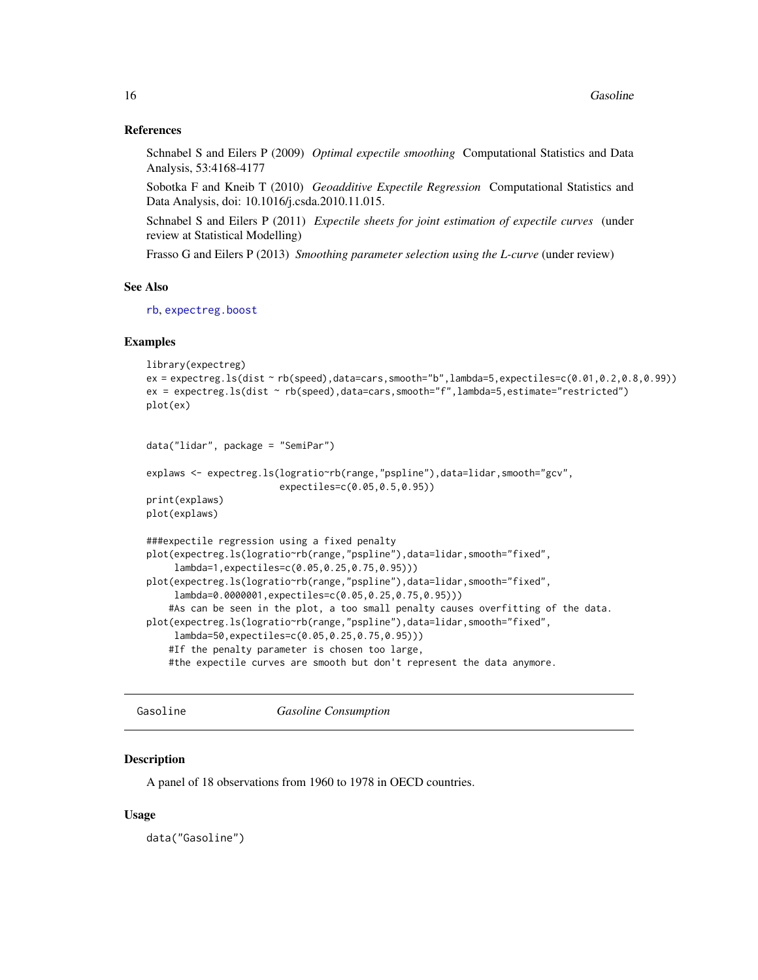#### <span id="page-15-0"></span>References

Schnabel S and Eilers P (2009) *Optimal expectile smoothing* Computational Statistics and Data Analysis, 53:4168-4177

Sobotka F and Kneib T (2010) *Geoadditive Expectile Regression* Computational Statistics and Data Analysis, doi: 10.1016/j.csda.2010.11.015.

Schnabel S and Eilers P (2011) *Expectile sheets for joint estimation of expectile curves* (under review at Statistical Modelling)

Frasso G and Eilers P (2013) *Smoothing parameter selection using the L-curve* (under review)

#### See Also

[rb](#page-29-1), [expectreg.boost](#page-10-1)

#### Examples

```
library(expectreg)
ex = expected. Is (dist <math>\sim rb(speed)</math>, data = cars, smooth = "b", lambda = 5, expected = 0.01, 0.2, 0.8, 0.99)ex = expectreg.ls(dist ~ rb(speed),data=cars,smooth="f",lambda=5,estimate="restricted")
plot(ex)
```

```
data("lidar", package = "SemiPar")
```

```
explaws <- expectreg.ls(logratio~rb(range,"pspline"),data=lidar,smooth="gcv",
                       expectiles=c(0.05,0.5,0.95))
print(explaws)
```
plot(explaws)

```
###expectile regression using a fixed penalty
plot(expectreg.ls(logratio~rb(range,"pspline"),data=lidar,smooth="fixed",
     lambda=1,expectiles=c(0.05,0.25,0.75,0.95)))
plot(expectreg.ls(logratio~rb(range,"pspline"),data=lidar,smooth="fixed",
     lambda=0.0000001,expectiles=c(0.05,0.25,0.75,0.95)))
    #As can be seen in the plot, a too small penalty causes overfitting of the data.
plot(expectreg.ls(logratio~rb(range,"pspline"),data=lidar,smooth="fixed",
     lambda=50,expectiles=c(0.05,0.25,0.75,0.95)))
    #If the penalty parameter is chosen too large,
    #the expectile curves are smooth but don't represent the data anymore.
```
Gasoline *Gasoline Consumption*

#### **Description**

A panel of 18 observations from 1960 to 1978 in OECD countries.

#### Usage

data("Gasoline")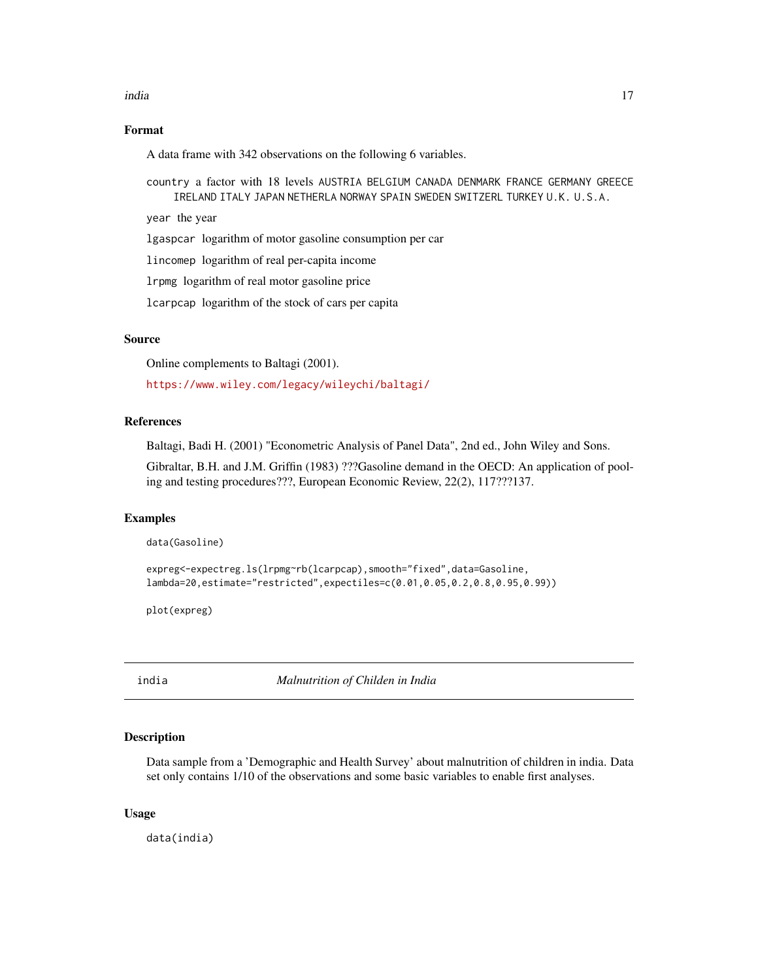#### <span id="page-16-0"></span>india 17

#### Format

A data frame with 342 observations on the following 6 variables.

country a factor with 18 levels AUSTRIA BELGIUM CANADA DENMARK FRANCE GERMANY GREECE IRELAND ITALY JAPAN NETHERLA NORWAY SPAIN SWEDEN SWITZERL TURKEY U.K. U.S.A.

year the year

lgaspcar logarithm of motor gasoline consumption per car

lincomep logarithm of real per-capita income

lrpmg logarithm of real motor gasoline price

lcarpcap logarithm of the stock of cars per capita

#### Source

Online complements to Baltagi (2001).

<https://www.wiley.com/legacy/wileychi/baltagi/>

#### References

Baltagi, Badi H. (2001) "Econometric Analysis of Panel Data", 2nd ed., John Wiley and Sons.

Gibraltar, B.H. and J.M. Griffin (1983) ???Gasoline demand in the OECD: An application of pooling and testing procedures???, European Economic Review, 22(2), 117???137.

#### Examples

data(Gasoline)

```
expreg<-expectreg.ls(lrpmg~rb(lcarpcap),smooth="fixed",data=Gasoline,
lambda=20,estimate="restricted",expectiles=c(0.01,0.05,0.2,0.8,0.95,0.99))
```
plot(expreg)

india *Malnutrition of Childen in India*

#### Description

Data sample from a 'Demographic and Health Survey' about malnutrition of children in india. Data set only contains 1/10 of the observations and some basic variables to enable first analyses.

#### Usage

data(india)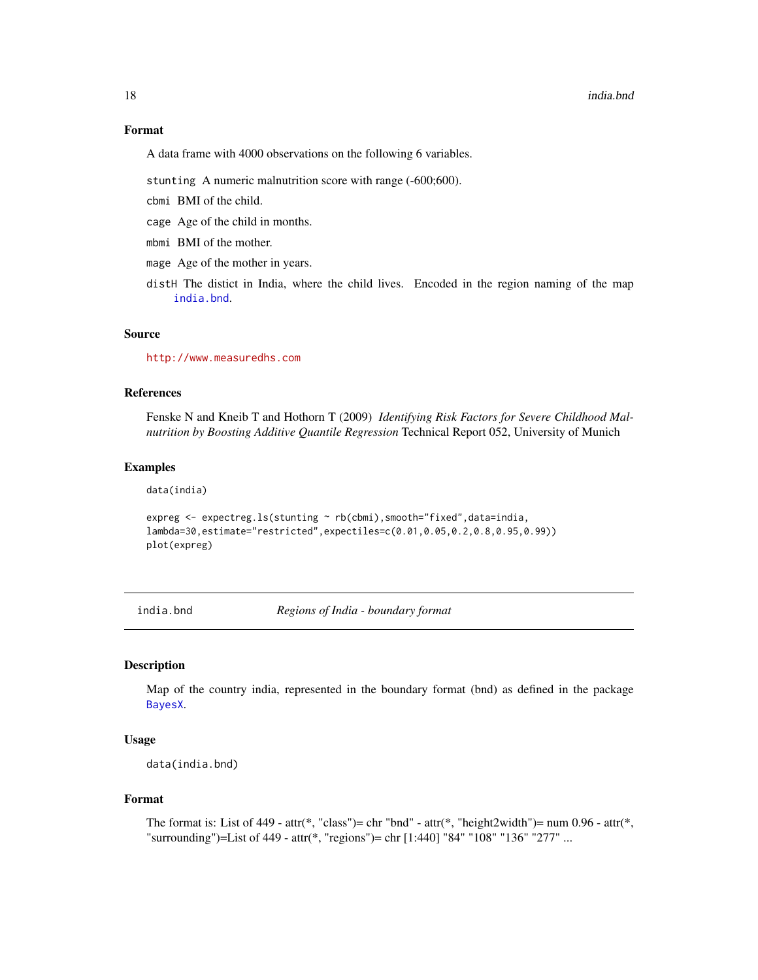#### <span id="page-17-0"></span>18 india.bnd **india.bnd** india.bnd **india.bnd** india.bnd **india.bnd** india.bnd **india.bnd** india.bnd **india.bnd**

#### Format

A data frame with 4000 observations on the following 6 variables.

stunting A numeric malnutrition score with range (-600;600).

- cbmi BMI of the child.
- cage Age of the child in months.
- mbmi BMI of the mother.
- mage Age of the mother in years.
- distH The distict in India, where the child lives. Encoded in the region naming of the map [india.bnd](#page-17-1).

#### Source

<http://www.measuredhs.com>

#### References

Fenske N and Kneib T and Hothorn T (2009) *Identifying Risk Factors for Severe Childhood Malnutrition by Boosting Additive Quantile Regression* Technical Report 052, University of Munich

#### Examples

data(india)

```
expreg <- expectreg.ls(stunting ~ rb(cbmi),smooth="fixed",data=india,
lambda=30,estimate="restricted",expectiles=c(0.01,0.05,0.2,0.8,0.95,0.99))
plot(expreg)
```
<span id="page-17-1"></span>india.bnd *Regions of India - boundary format*

#### Description

Map of the country india, represented in the boundary format (bnd) as defined in the package [BayesX](#page-0-0).

#### Usage

data(india.bnd)

#### Format

```
The format is: List of 449 - attr(*, "class")= chr "bnd" - attr(*, "height2width")= num 0.96 - attr(*,
"surrounding")=List of 449 - attr(*, "regions")= chr [1:440] "84" "108" "136" "277" ...
```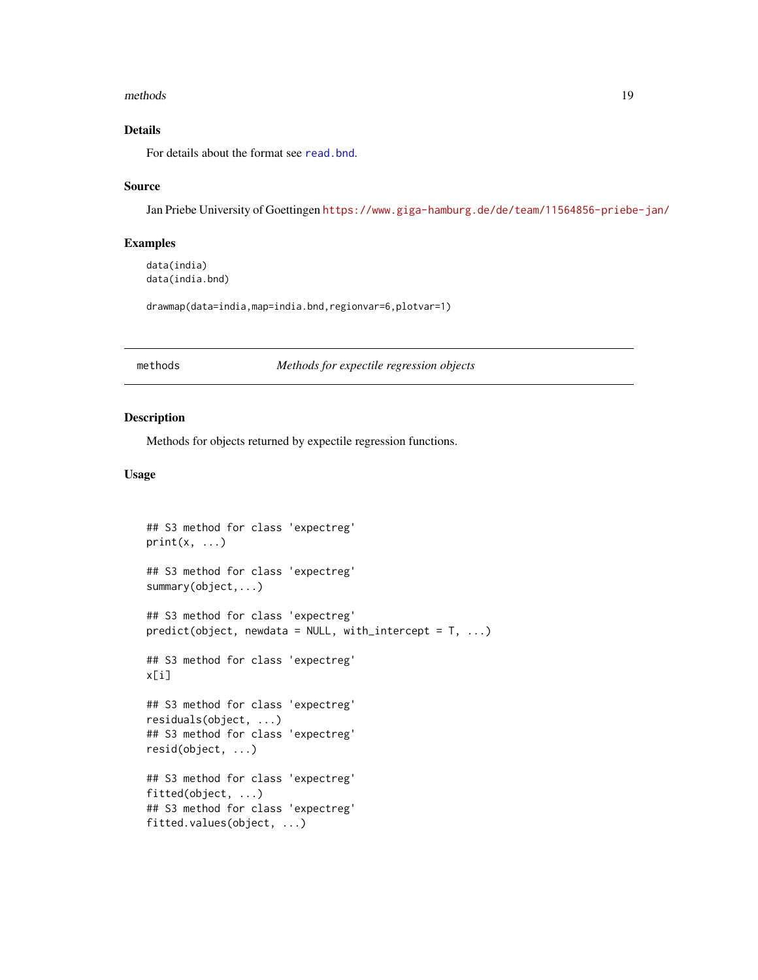#### <span id="page-18-0"></span>methods and the contract of the contract of the contract of the contract of the contract of the contract of the contract of the contract of the contract of the contract of the contract of the contract of the contract of th

#### Details

For details about the format see [read.bnd](#page-0-0).

#### Source

Jan Priebe University of Goettingen <https://www.giga-hamburg.de/de/team/11564856-priebe-jan/>

#### Examples

```
data(india)
data(india.bnd)
```
drawmap(data=india,map=india.bnd,regionvar=6,plotvar=1)

methods *Methods for expectile regression objects*

#### <span id="page-18-1"></span>Description

Methods for objects returned by expectile regression functions.

#### Usage

```
## S3 method for class 'expectreg'
print(x, \ldots)## S3 method for class 'expectreg'
summary(object,...)
## S3 method for class 'expectreg'
predict(object, new data = NULL, with_interestcept = T, ...)## S3 method for class 'expectreg'
x[i]
## S3 method for class 'expectreg'
residuals(object, ...)
## S3 method for class 'expectreg'
resid(object, ...)
## S3 method for class 'expectreg'
fitted(object, ...)
## S3 method for class 'expectreg'
fitted.values(object, ...)
```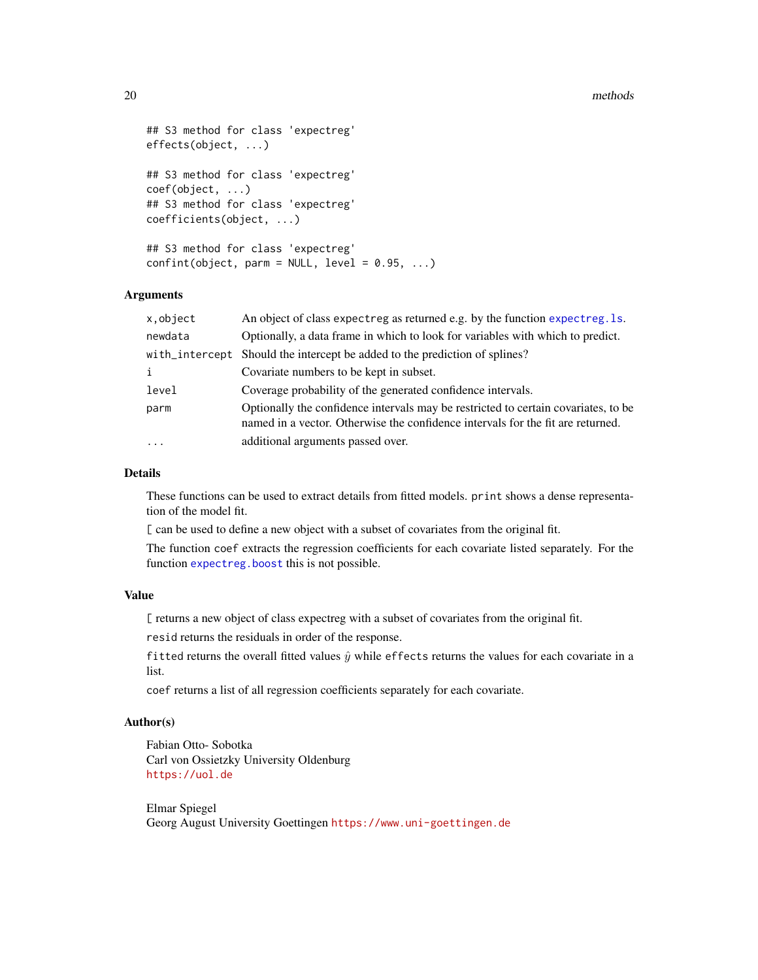#### <span id="page-19-0"></span>20 methods and the contract of the contract of the contract of the contract of the contract of the contract of the contract of the contract of the contract of the contract of the contract of the contract of the contract of

```
## S3 method for class 'expectreg'
effects(object, ...)
## S3 method for class 'expectreg'
coef(object, ...)
## S3 method for class 'expectreg'
coefficients(object, ...)
## S3 method for class 'expectreg'
confint(object, parm = NULL, level = 0.95, ...)
```
#### Arguments

| x,object       | An object of class expectreg as returned e.g. by the function expectreg. 1s.                                                                                          |
|----------------|-----------------------------------------------------------------------------------------------------------------------------------------------------------------------|
| newdata        | Optionally, a data frame in which to look for variables with which to predict.                                                                                        |
| with_intercept | Should the intercept be added to the prediction of splines?                                                                                                           |
| i              | Covariate numbers to be kept in subset.                                                                                                                               |
| level          | Coverage probability of the generated confidence intervals.                                                                                                           |
| parm           | Optionally the confidence intervals may be restricted to certain covariates, to be<br>named in a vector. Otherwise the confidence intervals for the fit are returned. |
| $\ddotsc$      | additional arguments passed over.                                                                                                                                     |

#### Details

These functions can be used to extract details from fitted models. print shows a dense representation of the model fit.

[ can be used to define a new object with a subset of covariates from the original fit.

The function coef extracts the regression coefficients for each covariate listed separately. For the function [expectreg.boost](#page-10-1) this is not possible.

#### Value

[ returns a new object of class expectreg with a subset of covariates from the original fit.

resid returns the residuals in order of the response.

fitted returns the overall fitted values  $\hat{y}$  while effects returns the values for each covariate in a list.

coef returns a list of all regression coefficients separately for each covariate.

#### Author(s)

Fabian Otto- Sobotka Carl von Ossietzky University Oldenburg <https://uol.de>

Elmar Spiegel Georg August University Goettingen <https://www.uni-goettingen.de>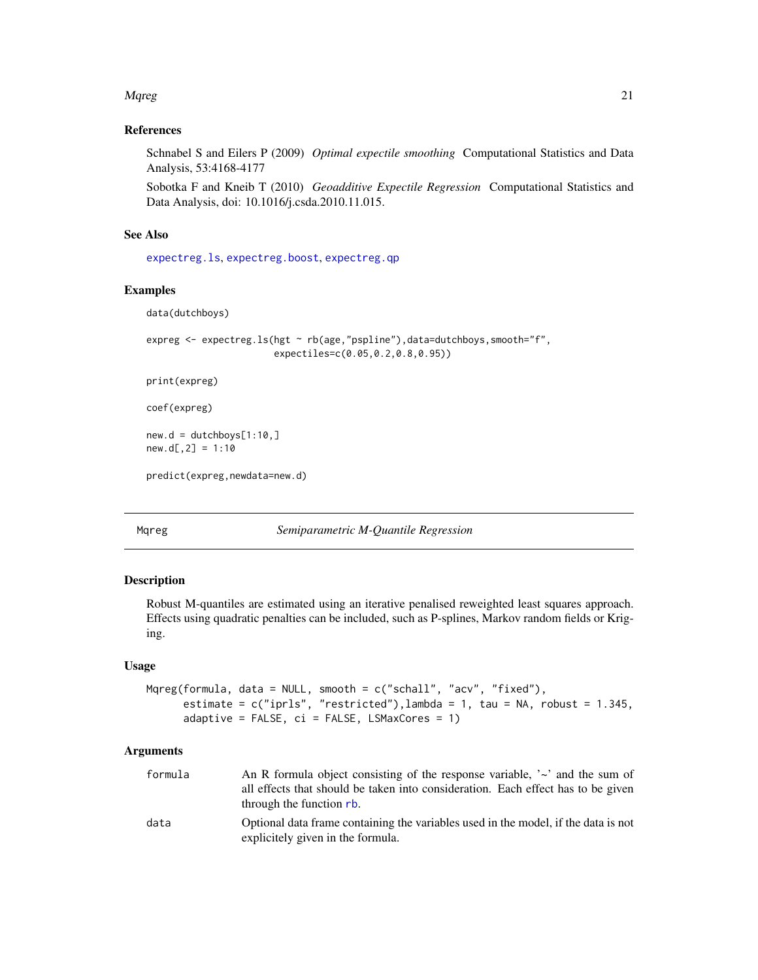#### <span id="page-20-0"></span>Mqreg 21

#### References

Schnabel S and Eilers P (2009) *Optimal expectile smoothing* Computational Statistics and Data Analysis, 53:4168-4177

Sobotka F and Kneib T (2010) *Geoadditive Expectile Regression* Computational Statistics and Data Analysis, doi: 10.1016/j.csda.2010.11.015.

#### See Also

[expectreg.ls](#page-12-1), [expectreg.boost](#page-10-1), [expectreg.qp](#page-12-2)

#### Examples

```
data(dutchboys)
```

```
expreg <- expectreg.ls(hgt ~ rb(age,"pspline"),data=dutchboys,smooth="f",
                      expectiles=c(0.05,0.2,0.8,0.95))
```
print(expreg)

coef(expreg)

 $new.d = ductchboys[1:10, ]$  $new.d[, 2] = 1:10$ 

predict(expreg,newdata=new.d)

Mqreg *Semiparametric M-Quantile Regression*

#### Description

Robust M-quantiles are estimated using an iterative penalised reweighted least squares approach. Effects using quadratic penalties can be included, such as P-splines, Markov random fields or Kriging.

#### Usage

```
Mqreg(formula, data = NULL, smooth = c("schall", "acv", "fixed"),
      estimate = c("iprls", "restricted"),lambda = 1, tau = NA, robust = 1.345,
      adaptive = FALSE, ci = FALSE, LSMaxCores = 1)
```
#### Arguments

| formula | An R formula object consisting of the response variable, $\sim$ and the sum of                                          |
|---------|-------------------------------------------------------------------------------------------------------------------------|
|         | all effects that should be taken into consideration. Each effect has to be given<br>through the function rb.            |
| data    | Optional data frame containing the variables used in the model, if the data is not<br>explicitely given in the formula. |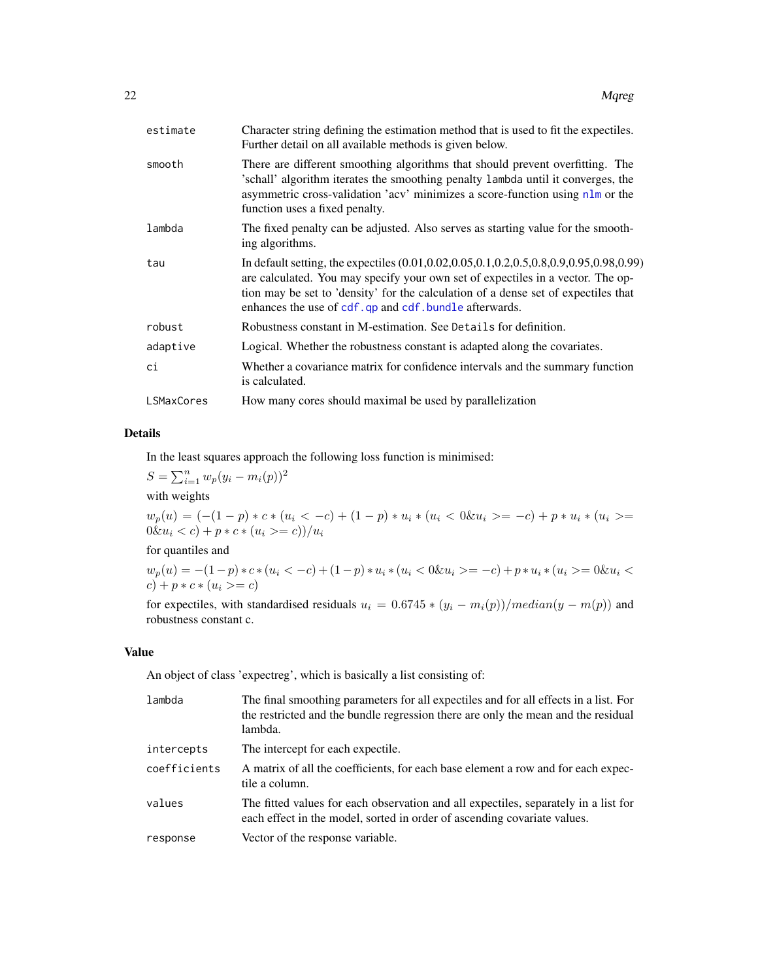<span id="page-21-0"></span>

| estimate          | Character string defining the estimation method that is used to fit the expectiles.<br>Further detail on all available methods is given below.                                                                                                                                                                                     |
|-------------------|------------------------------------------------------------------------------------------------------------------------------------------------------------------------------------------------------------------------------------------------------------------------------------------------------------------------------------|
| smooth            | There are different smoothing algorithms that should prevent overfitting. The<br>'schall' algorithm iterates the smoothing penalty lambda until it converges, the<br>asymmetric cross-validation 'acv' minimizes a score-function using nlm or the<br>function uses a fixed penalty.                                               |
| lambda            | The fixed penalty can be adjusted. Also serves as starting value for the smooth-<br>ing algorithms.                                                                                                                                                                                                                                |
| tau               | In default setting, the expectiles (0.01, 0.02, 0.05, 0.1, 0.2, 0.5, 0.8, 0.9, 0.95, 0.98, 0.99)<br>are calculated. You may specify your own set of expectiles in a vector. The op-<br>tion may be set to 'density' for the calculation of a dense set of expectiles that<br>enhances the use of cdf.qp and cdf.bundle afterwards. |
| robust            | Robustness constant in M-estimation. See Details for definition.                                                                                                                                                                                                                                                                   |
| adaptive          | Logical. Whether the robustness constant is adapted along the covariates.                                                                                                                                                                                                                                                          |
| сi                | Whether a covariance matrix for confidence intervals and the summary function<br>is calculated.                                                                                                                                                                                                                                    |
| <b>LSMaxCores</b> | How many cores should maximal be used by parallelization                                                                                                                                                                                                                                                                           |
|                   |                                                                                                                                                                                                                                                                                                                                    |

#### Details

In the least squares approach the following loss function is minimised:

 $S = \sum_{i=1}^{n} w_p (y_i - m_i(p))^2$ with weights

 $w_p(u) = (-(1-p) * c * (u_i < -c) + (1-p) * u_i * (u_i < 0 \& u_i \ge -c) + p * u_i * (u_i \ge -c)$  $0 \& u_i < c$ ) + p  $\ast$  c  $\ast$  ( $u_i > = c$ ))/ $u_i$ 

#### for quantiles and

 $w_p(u) = -(1-p) * c * (u_i < -c) + (1-p) * u_i * (u_i < 0 \& u_i > = -c) + p * u_i * (u_i > = 0 \& u_i < 0 \& u_i > = 0 \& u_i < 0$  $c) + p * c * (u_i >= c)$ 

for expectiles, with standardised residuals  $u_i = 0.6745 * (y_i - m_i(p))/median(y - m(p))$  and robustness constant c.

#### Value

An object of class 'expectreg', which is basically a list consisting of:

| lambda       | The final smoothing parameters for all expectiles and for all effects in a list. For<br>the restricted and the bundle regression there are only the mean and the residual<br>lambda. |
|--------------|--------------------------------------------------------------------------------------------------------------------------------------------------------------------------------------|
| intercepts   | The intercept for each expectile.                                                                                                                                                    |
| coefficients | A matrix of all the coefficients, for each base element a row and for each expec-<br>tile a column.                                                                                  |
| values       | The fitted values for each observation and all expectiles, separately in a list for<br>each effect in the model, sorted in order of ascending covariate values.                      |
| response     | Vector of the response variable.                                                                                                                                                     |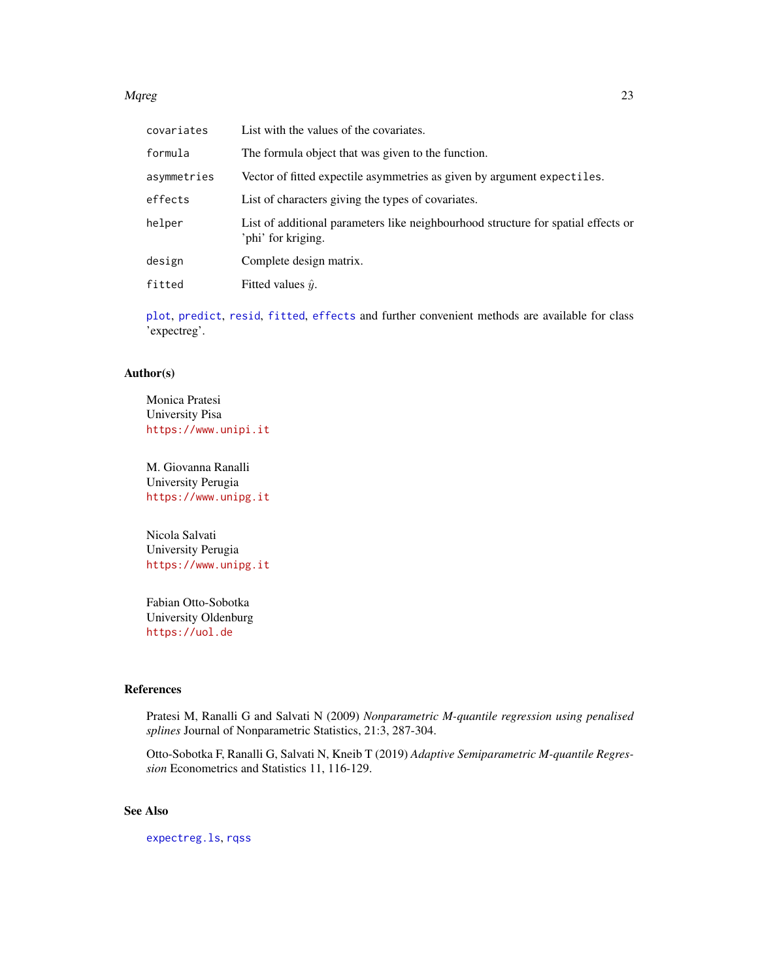#### <span id="page-22-0"></span>Mqreg 23

| covariates  | List with the values of the covariates.                                                                 |
|-------------|---------------------------------------------------------------------------------------------------------|
| formula     | The formula object that was given to the function.                                                      |
| asymmetries | Vector of fitted expectile asymmetries as given by argument expectiles.                                 |
| effects     | List of characters giving the types of covariates.                                                      |
| helper      | List of additional parameters like neighbourhood structure for spatial effects or<br>'phi' for kriging. |
| design      | Complete design matrix.                                                                                 |
| fitted      | Fitted values $\hat{y}$ .                                                                               |

[plot](#page-25-1), [predict](#page-18-1), [resid](#page-18-1), [fitted](#page-18-1), [effects](#page-18-1) and further convenient methods are available for class 'expectreg'.

#### Author(s)

Monica Pratesi University Pisa <https://www.unipi.it>

M. Giovanna Ranalli University Perugia <https://www.unipg.it>

Nicola Salvati University Perugia <https://www.unipg.it>

Fabian Otto-Sobotka University Oldenburg <https://uol.de>

#### References

Pratesi M, Ranalli G and Salvati N (2009) *Nonparametric M-quantile regression using penalised splines* Journal of Nonparametric Statistics, 21:3, 287-304.

Otto-Sobotka F, Ranalli G, Salvati N, Kneib T (2019) *Adaptive Semiparametric M-quantile Regression* Econometrics and Statistics 11, 116-129.

#### See Also

[expectreg.ls](#page-12-1), [rqss](#page-0-0)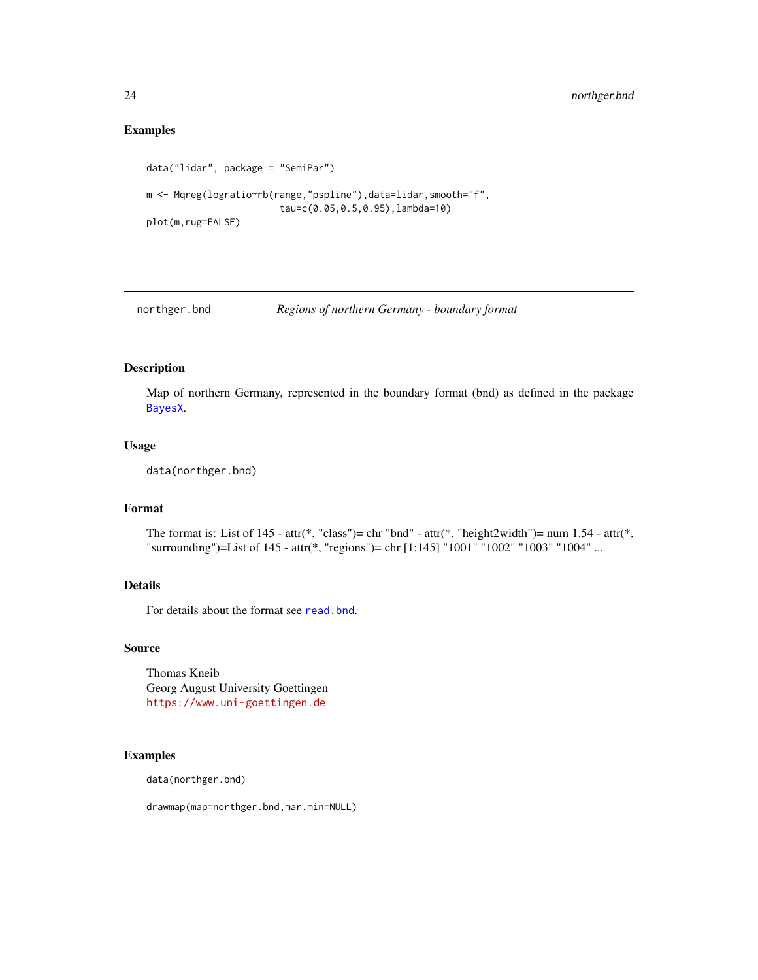#### Examples

```
data("lidar", package = "SemiPar")
m <- Mqreg(logratio~rb(range,"pspline"),data=lidar,smooth="f",
                        tau=c(0.05,0.5,0.95),lambda=10)
plot(m,rug=FALSE)
```
northger.bnd *Regions of northern Germany - boundary format*

#### Description

Map of northern Germany, represented in the boundary format (bnd) as defined in the package [BayesX](#page-0-0).

#### Usage

data(northger.bnd)

#### Format

The format is: List of 145 - attr(\*, "class")= chr "bnd" - attr(\*, "height2width")= num 1.54 - attr(\*, "surrounding")=List of 145 - attr(\*, "regions")= chr [1:145] "1001" "1002" "1003" "1004" ...

#### Details

For details about the format see [read.bnd](#page-0-0).

#### Source

Thomas Kneib Georg August University Goettingen <https://www.uni-goettingen.de>

#### Examples

data(northger.bnd)

drawmap(map=northger.bnd,mar.min=NULL)

<span id="page-23-0"></span>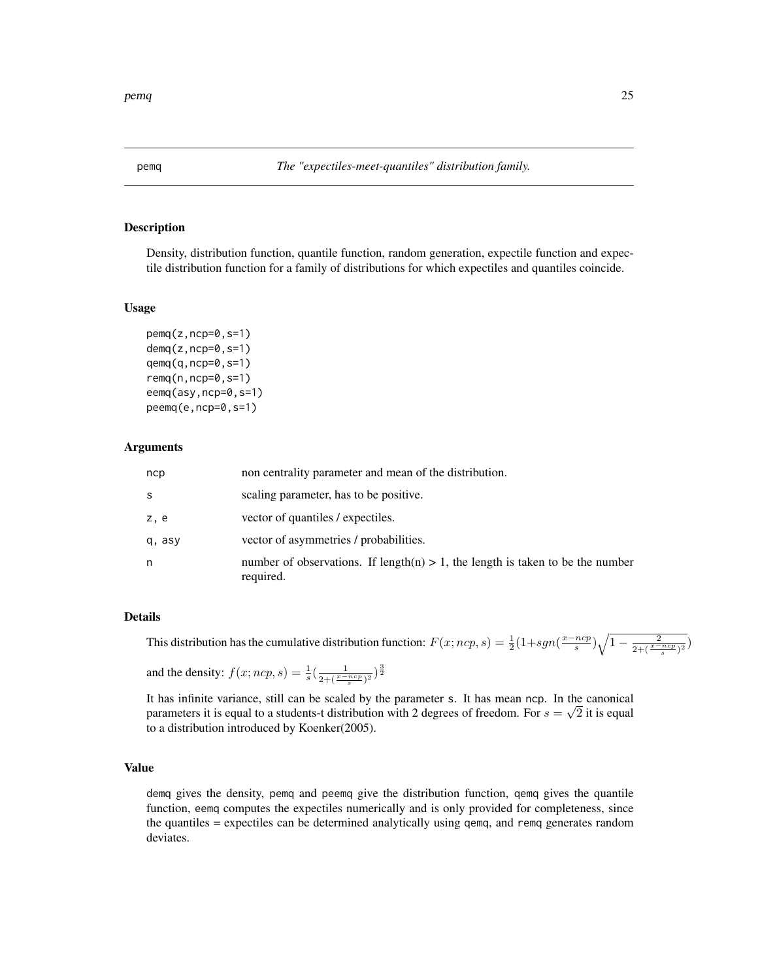<span id="page-24-0"></span>

#### <span id="page-24-1"></span>Description

Density, distribution function, quantile function, random generation, expectile function and expectile distribution function for a family of distributions for which expectiles and quantiles coincide.

#### Usage

```
pemq(z,ncp=0,s=1)
demq(z,ncp=0,s=1)
qemq(q,ncp=0,s=1)
remq(n,ncp=0,s=1)
eemq(asy,ncp=0,s=1)
peemq(e,ncp=0,s=1)
```
#### Arguments

| ncp    | non centrality parameter and mean of the distribution.                                         |
|--------|------------------------------------------------------------------------------------------------|
| S      | scaling parameter, has to be positive.                                                         |
| z, e   | vector of quantiles / expectiles.                                                              |
| q, asy | vector of asymmetries / probabilities.                                                         |
| n      | number of observations. If length(n) $> 1$ , the length is taken to be the number<br>required. |

#### Details

This distribution has the cumulative distribution function:  $F(x;ncp, s) = \frac{1}{2}(1+sgn(\frac{x-ncp}{s})\sqrt{1-\frac{2}{2+(\frac{x-ncp}{s})^2}})$ 

and the density:  $f(x; ncp, s) = \frac{1}{s} (\frac{1}{2 + (\frac{x - ncp}{s})^2})^{\frac{3}{2}}$ 

It has infinite variance, still can be scaled by the parameter s. It has mean ncp. In the canonical parameters it is equal to a students-t distribution with 2 degrees of freedom. For  $s = \sqrt{2}$  it is equal to a distribution introduced by Koenker(2005).

#### Value

demq gives the density, pemq and peemq give the distribution function, qemq gives the quantile function, eemq computes the expectiles numerically and is only provided for completeness, since the quantiles = expectiles can be determined analytically using qemq, and remq generates random deviates.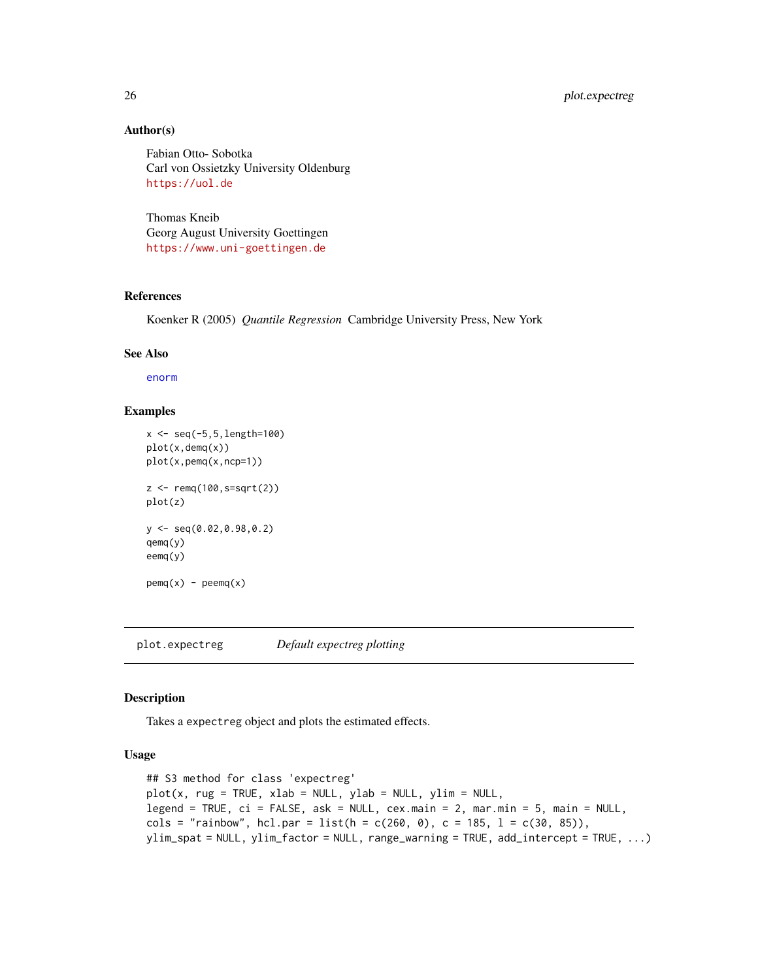#### <span id="page-25-0"></span>26 plot.expectreg

#### Author(s)

Fabian Otto- Sobotka Carl von Ossietzky University Oldenburg <https://uol.de>

Thomas Kneib Georg August University Goettingen <https://www.uni-goettingen.de>

#### References

Koenker R (2005) *Quantile Regression* Cambridge University Press, New York

#### See Also

[enorm](#page-6-1)

#### Examples

```
x \le - seq(-5, 5, length=100)
plot(x,demq(x))
plot(x,pemq(x,ncp=1))
z <- remq(100,s=sqrt(2))
plot(z)
y <- seq(0.02,0.98,0.2)
qemq(y)
eemq(y)
pemq(x) - pemq(x)
```
<span id="page-25-1"></span>plot.expectreg *Default expectreg plotting*

#### Description

Takes a expectreg object and plots the estimated effects.

#### Usage

```
## S3 method for class 'expectreg'
plot(x, rug = TRUE, xlab = NULL, ylab = NULL, ylim = NULL,legend = TRUE, ci = FALSE, ask = NULL, cex.main = 2, mar.min = 5, main = NULL,
cols = "rainbow", hcl.par = list(h = c(260, 0), c = 185, l = c(30, 85)),
ylim_spat = NULL, ylim_factor = NULL, range_warning = TRUE, add_intercept = TRUE, ...)
```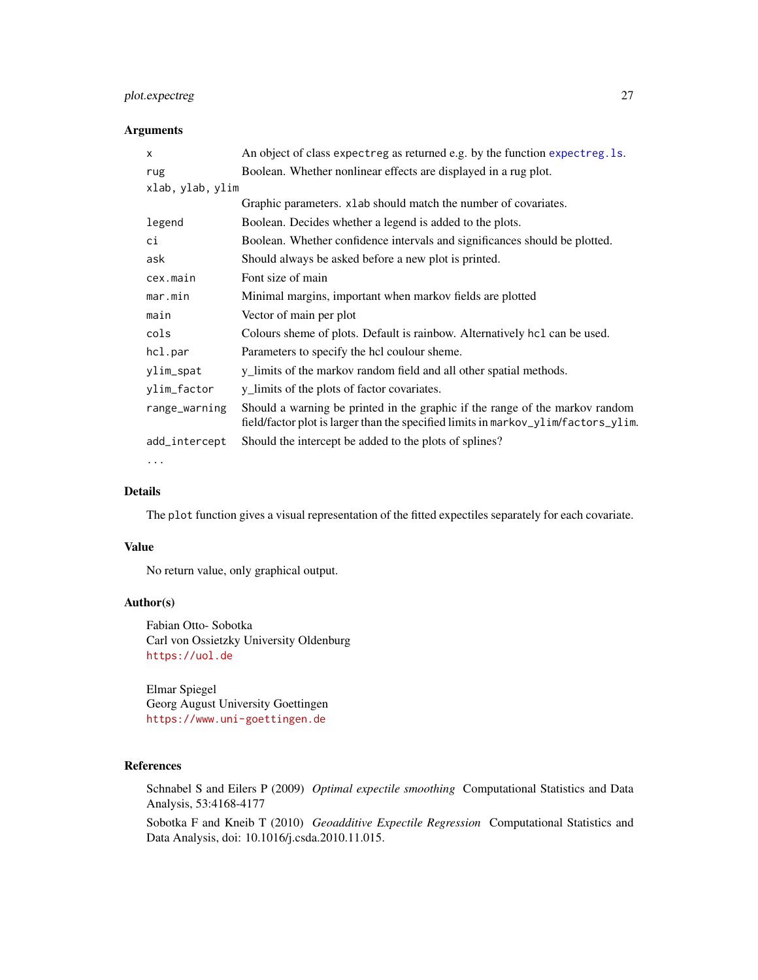#### <span id="page-26-0"></span>plot.expectreg 27

#### Arguments

| $\times$         | An object of class expectreg as returned e.g. by the function expectreg. 1s.                                                                                       |
|------------------|--------------------------------------------------------------------------------------------------------------------------------------------------------------------|
| rug              | Boolean. Whether nonlinear effects are displayed in a rug plot.                                                                                                    |
| xlab, ylab, ylim |                                                                                                                                                                    |
|                  | Graphic parameters. x1ab should match the number of covariates.                                                                                                    |
| legend           | Boolean. Decides whether a legend is added to the plots.                                                                                                           |
| сi               | Boolean. Whether confidence intervals and significances should be plotted.                                                                                         |
| ask              | Should always be asked before a new plot is printed.                                                                                                               |
| cex.main         | Font size of main                                                                                                                                                  |
| mar.min          | Minimal margins, important when markov fields are plotted                                                                                                          |
| main             | Vector of main per plot                                                                                                                                            |
| cols             | Colours sheme of plots. Default is rainbow. Alternatively hcl can be used.                                                                                         |
| hcl.par          | Parameters to specify the hcl coulour sheme.                                                                                                                       |
| ylim_spat        | y_limits of the markov random field and all other spatial methods.                                                                                                 |
| ylim_factor      | y_limits of the plots of factor covariates.                                                                                                                        |
| range_warning    | Should a warning be printed in the graphic if the range of the markov random<br>field/factor plot is larger than the specified limits in markov_ylim/factors_ylim. |
| add_intercept    | Should the intercept be added to the plots of splines?                                                                                                             |

...

#### Details

The plot function gives a visual representation of the fitted expectiles separately for each covariate.

#### Value

No return value, only graphical output.

#### Author(s)

Fabian Otto- Sobotka Carl von Ossietzky University Oldenburg <https://uol.de>

Elmar Spiegel Georg August University Goettingen <https://www.uni-goettingen.de>

#### References

Schnabel S and Eilers P (2009) *Optimal expectile smoothing* Computational Statistics and Data Analysis, 53:4168-4177

Sobotka F and Kneib T (2010) *Geoadditive Expectile Regression* Computational Statistics and Data Analysis, doi: 10.1016/j.csda.2010.11.015.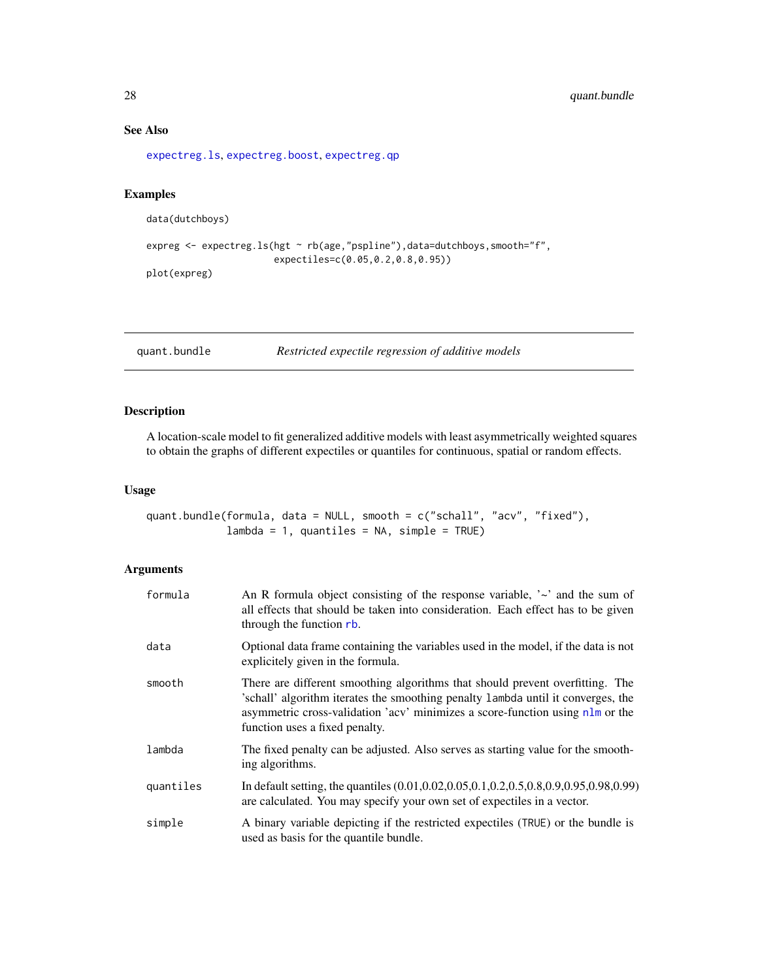#### See Also

[expectreg.ls](#page-12-1), [expectreg.boost](#page-10-1), [expectreg.qp](#page-12-2)

#### Examples

```
data(dutchboys)
```

```
expreg <- expectreg.ls(hgt ~ rb(age,"pspline"),data=dutchboys,smooth="f",
                      expectiles=c(0.05,0.2,0.8,0.95))
plot(expreg)
```
<span id="page-27-1"></span>

```
quant.bundle Restricted expectile regression of additive models
```
#### Description

A location-scale model to fit generalized additive models with least asymmetrically weighted squares to obtain the graphs of different expectiles or quantiles for continuous, spatial or random effects.

#### Usage

```
quant.bundle(formula, data = NULL, smooth = c("schall", "acv", "fixed"),
            lambda = 1, quantiles = NA, simple = TRUE)
```
#### Arguments

| formula   | An R formula object consisting of the response variable, $\sim$ and the sum of<br>all effects that should be taken into consideration. Each effect has to be given<br>through the function rb.                                                                                      |
|-----------|-------------------------------------------------------------------------------------------------------------------------------------------------------------------------------------------------------------------------------------------------------------------------------------|
| data      | Optional data frame containing the variables used in the model, if the data is not<br>explicitely given in the formula.                                                                                                                                                             |
| smooth    | There are different smoothing algorithms that should prevent overfitting. The<br>schall' algorithm iterates the smoothing penalty lambda until it converges, the<br>asymmetric cross-validation 'acv' minimizes a score-function using nlm or the<br>function uses a fixed penalty. |
| lambda    | The fixed penalty can be adjusted. Also serves as starting value for the smooth-<br>ing algorithms.                                                                                                                                                                                 |
| quantiles | In default setting, the quantiles (0.01, 0.02, 0.05, 0.1, 0.2, 0.5, 0.8, 0.9, 0.95, 0.98, 0.99)<br>are calculated. You may specify your own set of expectiles in a vector.                                                                                                          |
| simple    | A binary variable depicting if the restricted expectiles (TRUE) or the bundle is<br>used as basis for the quantile bundle.                                                                                                                                                          |

<span id="page-27-0"></span>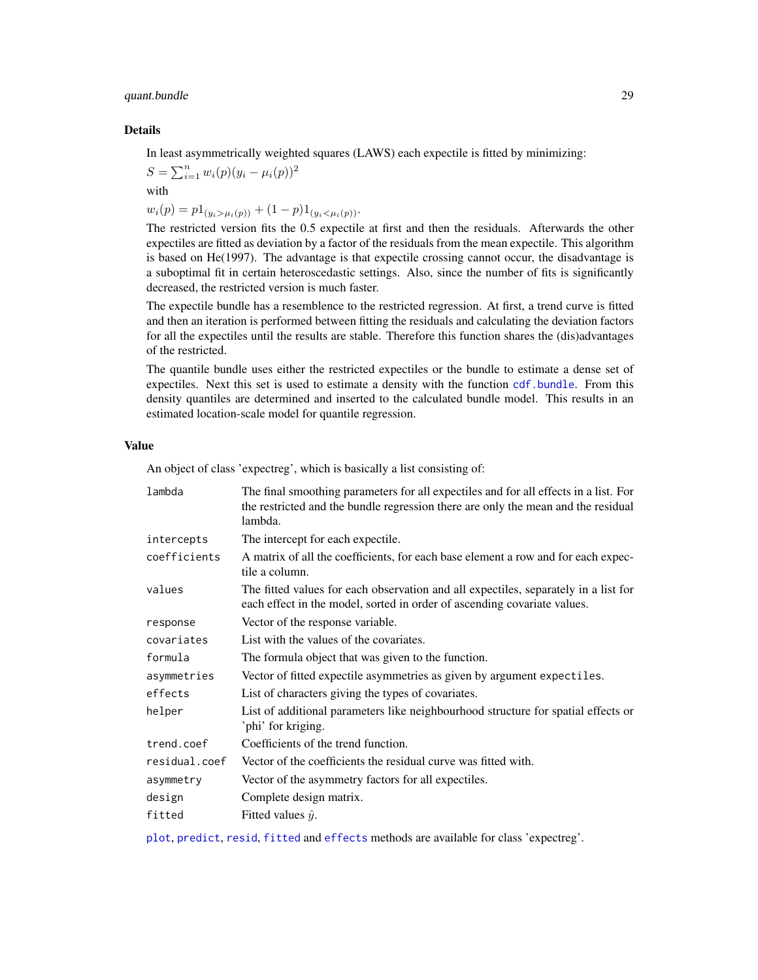#### <span id="page-28-0"></span>quant.bundle 29

#### Details

In least asymmetrically weighted squares (LAWS) each expectile is fitted by minimizing:

$$
S = \sum_{i=1}^{n} w_i(p)(y_i - \mu_i(p))^2
$$

with

 $w_i(p) = p1_{(y_i > \mu_i(p))} + (1-p)1_{(y_i < \mu_i(p))}.$ 

The restricted version fits the 0.5 expectile at first and then the residuals. Afterwards the other expectiles are fitted as deviation by a factor of the residuals from the mean expectile. This algorithm is based on He(1997). The advantage is that expectile crossing cannot occur, the disadvantage is a suboptimal fit in certain heteroscedastic settings. Also, since the number of fits is significantly decreased, the restricted version is much faster.

The expectile bundle has a resemblence to the restricted regression. At first, a trend curve is fitted and then an iteration is performed between fitting the residuals and calculating the deviation factors for all the expectiles until the results are stable. Therefore this function shares the (dis)advantages of the restricted.

The quantile bundle uses either the restricted expectiles or the bundle to estimate a dense set of expectiles. Next this set is used to estimate a density with the function [cdf.bundle](#page-3-2). From this density quantiles are determined and inserted to the calculated bundle model. This results in an estimated location-scale model for quantile regression.

#### Value

An object of class 'expectreg', which is basically a list consisting of:

| The final smoothing parameters for all expectiles and for all effects in a list. For<br>the restricted and the bundle regression there are only the mean and the residual<br>lambda. |
|--------------------------------------------------------------------------------------------------------------------------------------------------------------------------------------|
| The intercept for each expectile.                                                                                                                                                    |
| A matrix of all the coefficients, for each base element a row and for each expec-<br>tile a column.                                                                                  |
| The fitted values for each observation and all expectiles, separately in a list for<br>each effect in the model, sorted in order of ascending covariate values.                      |
| Vector of the response variable.                                                                                                                                                     |
| List with the values of the covariates.                                                                                                                                              |
| The formula object that was given to the function.                                                                                                                                   |
| Vector of fitted expectile asymmetries as given by argument expectiles.                                                                                                              |
| List of characters giving the types of covariates.                                                                                                                                   |
| List of additional parameters like neighbourhood structure for spatial effects or<br>'phi' for kriging.                                                                              |
| Coefficients of the trend function.                                                                                                                                                  |
| Vector of the coefficients the residual curve was fitted with.                                                                                                                       |
| Vector of the asymmetry factors for all expectiles.                                                                                                                                  |
| Complete design matrix.                                                                                                                                                              |
| Fitted values $\hat{y}$ .                                                                                                                                                            |
|                                                                                                                                                                                      |

[plot](#page-25-1), [predict](#page-18-1), [resid](#page-18-1), [fitted](#page-18-1) and [effects](#page-18-1) methods are available for class 'expectreg'.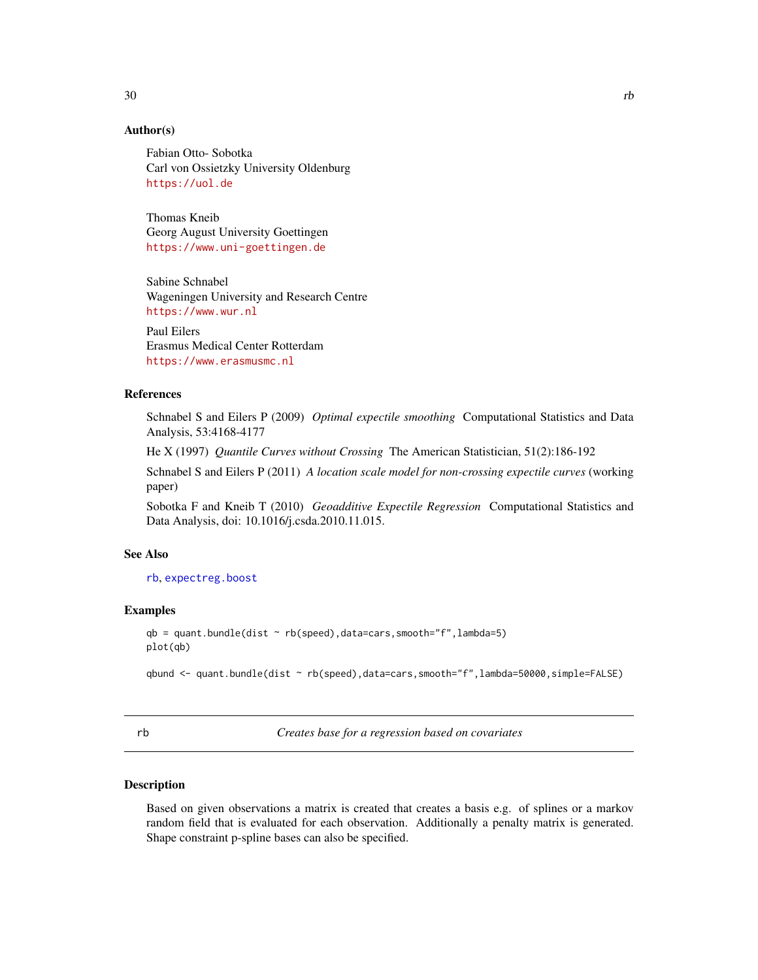### <span id="page-29-0"></span>Author(s)

Fabian Otto- Sobotka Carl von Ossietzky University Oldenburg <https://uol.de>

Thomas Kneib Georg August University Goettingen <https://www.uni-goettingen.de>

Sabine Schnabel Wageningen University and Research Centre <https://www.wur.nl>

Paul Eilers Erasmus Medical Center Rotterdam <https://www.erasmusmc.nl>

#### References

Schnabel S and Eilers P (2009) *Optimal expectile smoothing* Computational Statistics and Data Analysis, 53:4168-4177

He X (1997) *Quantile Curves without Crossing* The American Statistician, 51(2):186-192

Schnabel S and Eilers P (2011) *A location scale model for non-crossing expectile curves* (working paper)

Sobotka F and Kneib T (2010) *Geoadditive Expectile Regression* Computational Statistics and Data Analysis, doi: 10.1016/j.csda.2010.11.015.

#### See Also

[rb](#page-29-1), [expectreg.boost](#page-10-1)

#### Examples

```
qb = quant.bundle(dist ~ rb(speed),data=cars,smooth="f",lambda=5)
plot(qb)
```
qbund <- quant.bundle(dist ~ rb(speed),data=cars,smooth="f",lambda=50000,simple=FALSE)

<span id="page-29-1"></span>

rb *Creates base for a regression based on covariates*

#### Description

Based on given observations a matrix is created that creates a basis e.g. of splines or a markov random field that is evaluated for each observation. Additionally a penalty matrix is generated. Shape constraint p-spline bases can also be specified.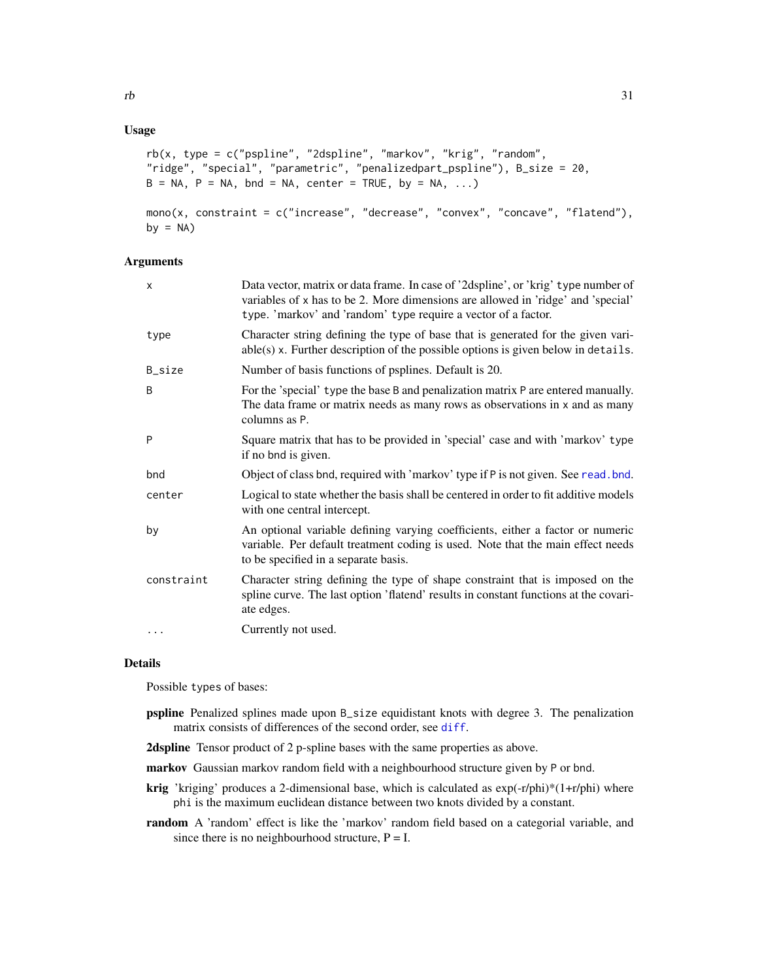#### <span id="page-30-0"></span>Usage

```
rb(x, type = c("pspline", "2dspline", "markov", "krig", "random",
"ridge", "special", "parametric", "penalizedpart_pspline"), B_size = 20,
B = NA, P = NA, bnd = NA, center = TRUE, by = NA, ...)
mono(x, constraint = c("increase", "decrease", "convex", "concave", "flatend"),
by = NA)
```
#### Arguments

| x          | Data vector, matrix or data frame. In case of '2dspline', or 'krig' type number of<br>variables of x has to be 2. More dimensions are allowed in 'ridge' and 'special'<br>type. 'markov' and 'random' type require a vector of a factor. |
|------------|------------------------------------------------------------------------------------------------------------------------------------------------------------------------------------------------------------------------------------------|
| type       | Character string defining the type of base that is generated for the given vari-<br>$able(s)$ x. Further description of the possible options is given below in details.                                                                  |
| B_size     | Number of basis functions of psplines. Default is 20.                                                                                                                                                                                    |
| B          | For the 'special' type the base B and penalization matrix P are entered manually.<br>The data frame or matrix needs as many rows as observations in x and as many<br>columns as P.                                                       |
| P          | Square matrix that has to be provided in 'special' case and with 'markov' type<br>if no bnd is given.                                                                                                                                    |
| bnd        | Object of class bnd, required with 'markov' type if P is not given. See read. bnd.                                                                                                                                                       |
| center     | Logical to state whether the basis shall be centered in order to fit additive models<br>with one central intercept.                                                                                                                      |
| by         | An optional variable defining varying coefficients, either a factor or numeric<br>variable. Per default treatment coding is used. Note that the main effect needs<br>to be specified in a separate basis.                                |
| constraint | Character string defining the type of shape constraint that is imposed on the<br>spline curve. The last option 'flatend' results in constant functions at the covari-<br>ate edges.                                                      |
| .          | Currently not used.                                                                                                                                                                                                                      |
|            |                                                                                                                                                                                                                                          |

#### Details

Possible types of bases:

- pspline Penalized splines made upon B\_size equidistant knots with degree 3. The penalization matrix consists of differences of the second order, see [diff](#page-0-0).
- 2dspline Tensor product of 2 p-spline bases with the same properties as above.
- markov Gaussian markov random field with a neighbourhood structure given by P or bnd.
- **krig** 'kriging' produces a 2-dimensional base, which is calculated as  $exp(-r/\pi h i)^*(1+r/\pi h i)$  where phi is the maximum euclidean distance between two knots divided by a constant.
- random A 'random' effect is like the 'markov' random field based on a categorial variable, and since there is no neighbourhood structure,  $P = I$ .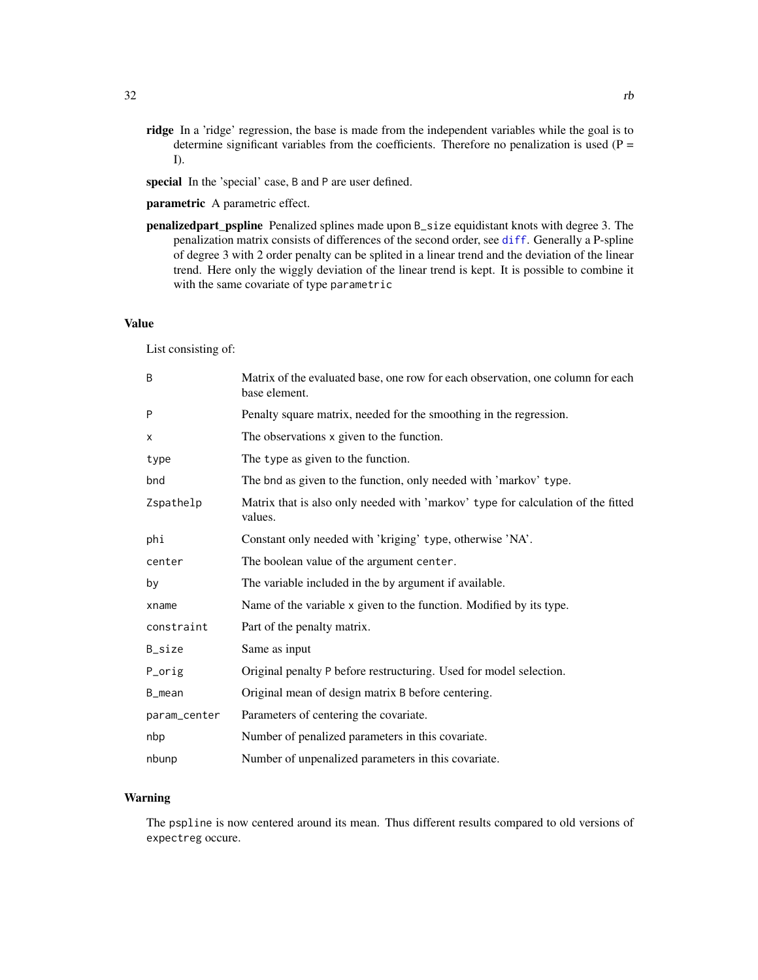<span id="page-31-0"></span>ridge In a 'ridge' regression, the base is made from the independent variables while the goal is to determine significant variables from the coefficients. Therefore no penalization is used  $(P =$ I).

special In the 'special' case, B and P are user defined.

parametric A parametric effect.

penalizedpart\_pspline Penalized splines made upon B\_size equidistant knots with degree 3. The penalization matrix consists of differences of the second order, see [diff](#page-0-0). Generally a P-spline of degree 3 with 2 order penalty can be splited in a linear trend and the deviation of the linear trend. Here only the wiggly deviation of the linear trend is kept. It is possible to combine it with the same covariate of type parametric

#### Value

List consisting of:

| B            | Matrix of the evaluated base, one row for each observation, one column for each<br>base element. |
|--------------|--------------------------------------------------------------------------------------------------|
| P            | Penalty square matrix, needed for the smoothing in the regression.                               |
| X            | The observations x given to the function.                                                        |
| type         | The type as given to the function.                                                               |
| bnd          | The bnd as given to the function, only needed with 'markov' type.                                |
| Zspathelp    | Matrix that is also only needed with 'markov' type for calculation of the fitted<br>values.      |
| phi          | Constant only needed with 'kriging' type, otherwise 'NA'.                                        |
| center       | The boolean value of the argument center.                                                        |
| by           | The variable included in the by argument if available.                                           |
| xname        | Name of the variable x given to the function. Modified by its type.                              |
| constraint   | Part of the penalty matrix.                                                                      |
| B_size       | Same as input                                                                                    |
| P_orig       | Original penalty P before restructuring. Used for model selection.                               |
| B_mean       | Original mean of design matrix B before centering.                                               |
| param_center | Parameters of centering the covariate.                                                           |
| nbp          | Number of penalized parameters in this covariate.                                                |
| nbunp        | Number of unpenalized parameters in this covariate.                                              |

#### Warning

The pspline is now centered around its mean. Thus different results compared to old versions of expectreg occure.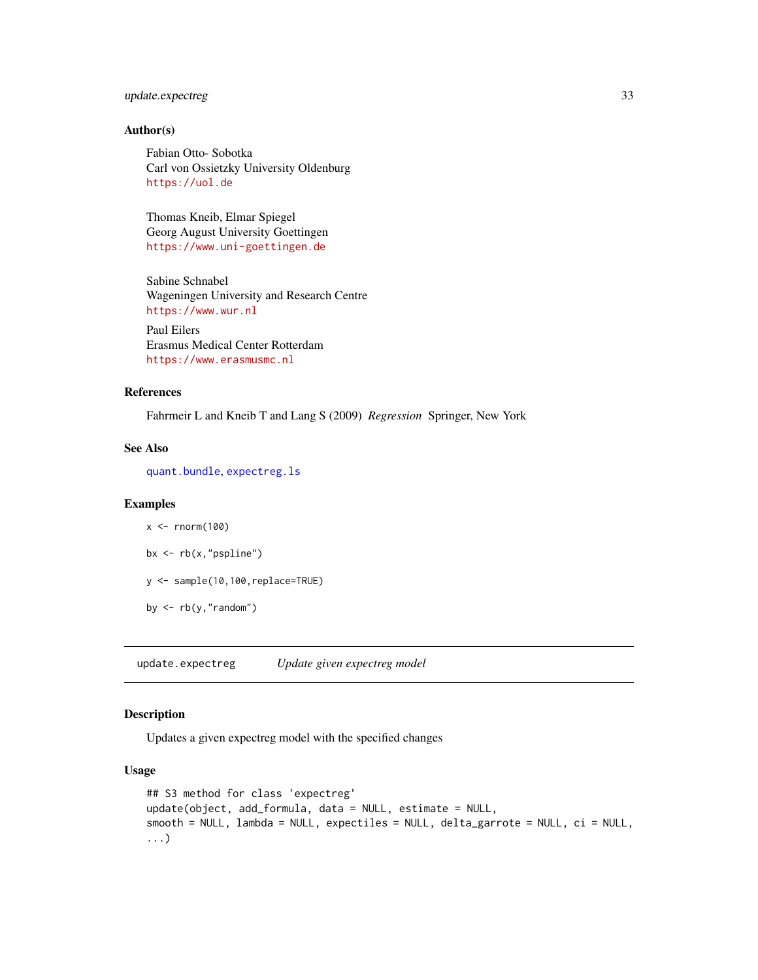#### <span id="page-32-0"></span>update.expectreg 33

#### Author(s)

Fabian Otto- Sobotka Carl von Ossietzky University Oldenburg <https://uol.de>

Thomas Kneib, Elmar Spiegel Georg August University Goettingen <https://www.uni-goettingen.de>

Sabine Schnabel Wageningen University and Research Centre <https://www.wur.nl> Paul Eilers Erasmus Medical Center Rotterdam

References

Fahrmeir L and Kneib T and Lang S (2009) *Regression* Springer, New York

#### See Also

[quant.bundle](#page-27-1), [expectreg.ls](#page-12-1)

<https://www.erasmusmc.nl>

#### Examples

```
x < - rnorm(100)
bx \leftarrow rb(x, "pspline")y <- sample(10,100,replace=TRUE)
by \leq rb(y, "random")
```
update.expectreg *Update given expectreg model*

#### Description

Updates a given expectreg model with the specified changes

#### Usage

```
## S3 method for class 'expectreg'
update(object, add_formula, data = NULL, estimate = NULL,
smooth = NULL, lambda = NULL, expectiles = NULL, delta_garrote = NULL, ci = NULL,
...)
```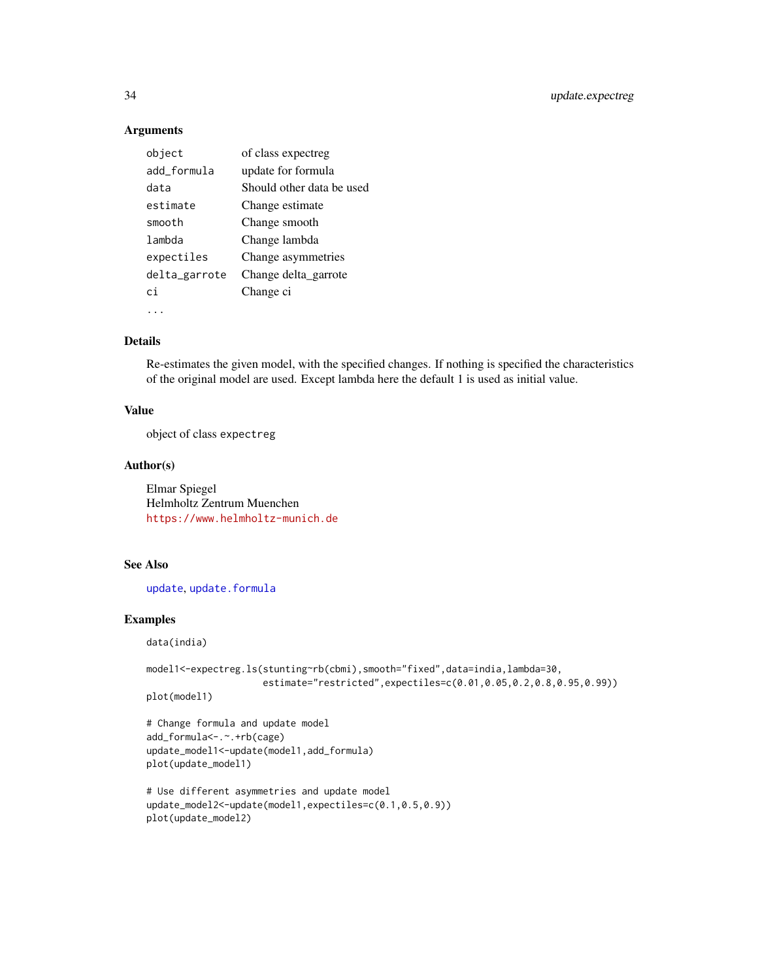#### Arguments

| object        | of class expectreg        |
|---------------|---------------------------|
| add_formula   | update for formula        |
| data          | Should other data be used |
| estimate      | Change estimate           |
| smooth        | Change smooth             |
| lambda        | Change lambda             |
| expectiles    | Change asymmetries        |
| delta_garrote | Change delta garrote      |
| сi            | Change ci                 |
|               |                           |

#### Details

Re-estimates the given model, with the specified changes. If nothing is specified the characteristics of the original model are used. Except lambda here the default 1 is used as initial value.

#### Value

object of class expectreg

#### Author(s)

Elmar Spiegel Helmholtz Zentrum Muenchen <https://www.helmholtz-munich.de>

#### See Also

[update](#page-0-0), [update.formula](#page-0-0)

#### Examples

data(india)

```
model1<-expectreg.ls(stunting~rb(cbmi),smooth="fixed",data=india,lambda=30,
                    estimate="restricted",expectiles=c(0.01,0.05,0.2,0.8,0.95,0.99))
```
plot(model1)

```
# Change formula and update model
add_formula<-.~.+rb(cage)
update_model1<-update(model1,add_formula)
plot(update_model1)
```

```
# Use different asymmetries and update model
update_model2<-update(model1,expectiles=c(0.1,0.5,0.9))
plot(update_model2)
```
<span id="page-33-0"></span>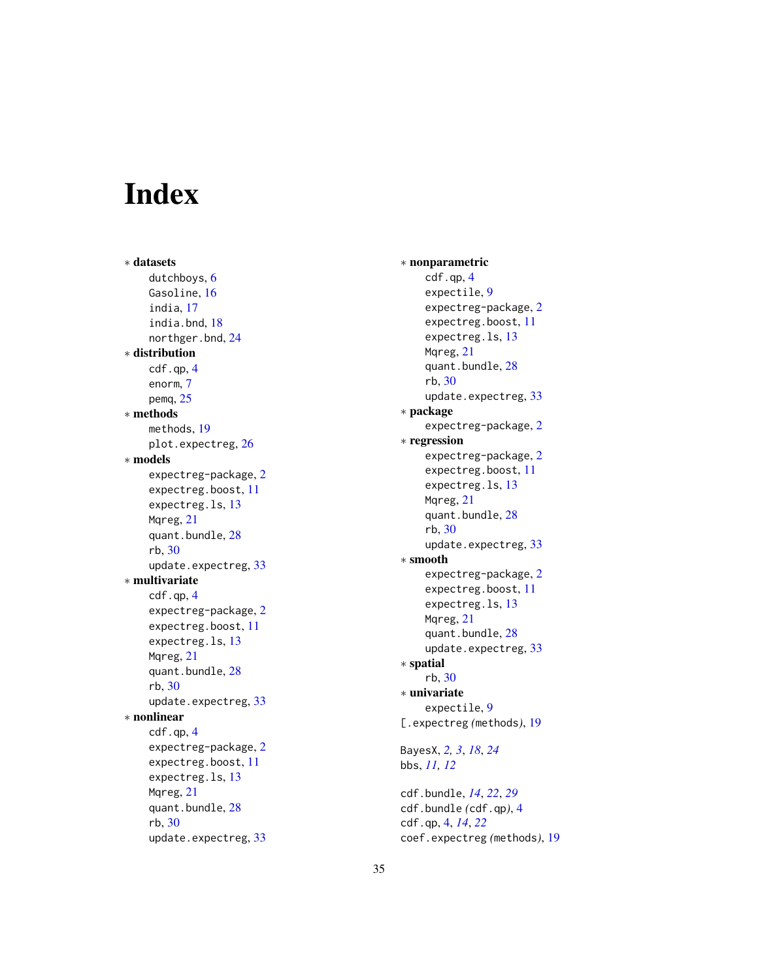# <span id="page-34-0"></span>**Index**

∗ datasets dutchboys , [6](#page-5-0) Gasoline, [16](#page-15-0) india , [17](#page-16-0) india.bnd , [18](#page-17-0) northger.bnd , [24](#page-23-0) ∗ distribution cdf.qp, [4](#page-3-0) enorm , [7](#page-6-0) pemq , [25](#page-24-0) ∗ methods methods , [19](#page-18-0) plot.expectreg, [26](#page-25-0) ∗ models expectreg-package , [2](#page-1-0) expectreg.boost , [11](#page-10-0) expectreg.ls , [13](#page-12-0) Mqreg, [21](#page-20-0) quant.bundle , [28](#page-27-0) rb , [30](#page-29-0) update.expectreg , [33](#page-32-0) ∗ multivariate cdf.qp , [4](#page-3-0) expectreg-package , [2](#page-1-0) expectreg.boost , [11](#page-10-0) expectreg.ls , [13](#page-12-0) Mqreg, [21](#page-20-0) quant.bundle , [28](#page-27-0) rb , [30](#page-29-0) update.expectreg, [33](#page-32-0) ∗ nonlinear cdf.qp, [4](#page-3-0) expectreg-package , [2](#page-1-0) expectreg.boost , [11](#page-10-0) expectreg.ls, [13](#page-12-0) Mqreg, [21](#page-20-0) quant.bundle , [28](#page-27-0) rb , [30](#page-29-0) update.expectreg , [33](#page-32-0)

∗ nonparametric cdf.qp , [4](#page-3-0) expectile , [9](#page-8-0) expectreg-package , [2](#page-1-0) expectreg.boost , [11](#page-10-0) expectreg.ls , [13](#page-12-0) Mqreg, [21](#page-20-0) quant.bundle , [28](#page-27-0) rb , [30](#page-29-0) update.expectreg , [33](#page-32-0) ∗ package expectreg-package , [2](#page-1-0) ∗ regression expectreg-package , [2](#page-1-0) expectreg.boost , [11](#page-10-0) expectreg.ls , [13](#page-12-0) Mqreg, [21](#page-20-0) quant.bundle , [28](#page-27-0) rb , [30](#page-29-0) update.expectreg , [33](#page-32-0) ∗ smooth expectreg-package , [2](#page-1-0) expectreg.boost , [11](#page-10-0) expectreg.ls, [13](#page-12-0) Mqreg, [21](#page-20-0) quant.bundle, [28](#page-27-0) update.expectreg, [33](#page-32-0) ∗ spatial rb , [30](#page-29-0) ∗ univariate expectile , [9](#page-8-0) [.expectreg *(*methods *)* , [19](#page-18-0) BayesX , *[2](#page-1-0) , [3](#page-2-0)* , *[18](#page-17-0)* , *[24](#page-23-0)* bbs , *[11](#page-10-0) , [12](#page-11-0)* cdf.bundle , *[14](#page-13-0)* , *[22](#page-21-0)* , *[29](#page-28-0)* cdf.bundle *(*cdf.qp *)* , [4](#page-3-0) cdf.qp , [4](#page-3-0) , *[14](#page-13-0)* , *[22](#page-21-0)*

coef.expectreg *(*methods *)* , [19](#page-18-0)